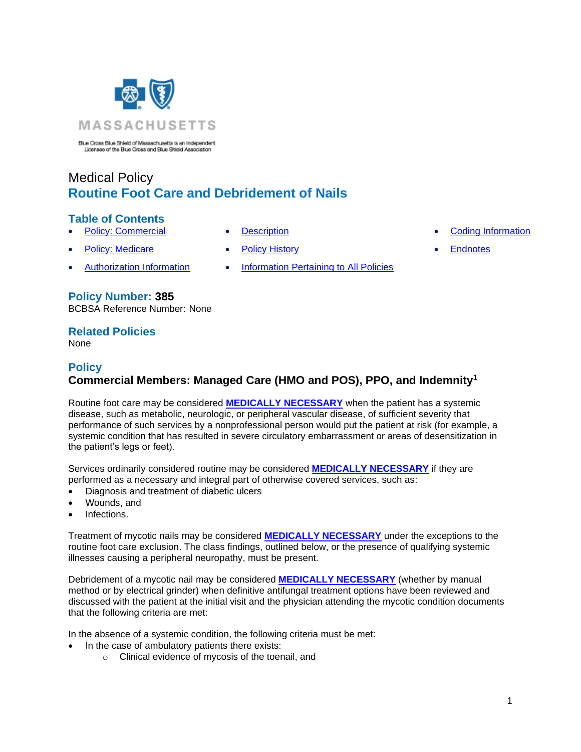

Blue Cross Blue Shield of Massachusetts is an Independent<br>Licensee of the Blue Cross and Blue Shield Association

# Medical Policy **Routine Foot Care and Debridement of Nails**

### **Table of Contents**

- 
- 
- 
- 
- **Policy: Medicare [Policy History](#page-2-1) Policy History [Endnotes](#page-17-0)**
- [Authorization Information](#page-2-2) [Information Pertaining to All Policies](#page-2-3)
- **[Policy: Commercial](#page-0-0) [Description](#page-2-0) [Coding Information](#page-3-0) Coding Information** 
	-

# **Policy Number: 385**

BCBSA Reference Number: None

### **Related Policies**

<span id="page-0-0"></span>None

# **Policy Commercial Members: Managed Care (HMO and POS), PPO, and Indemnity<sup>1</sup>**

Routine foot care may be considered **[MEDICALLY NECESSARY](https://www.bluecrossma.org/medical-policies/sites/g/files/csphws2091/files/acquiadam-assets/Definition%20of%20Med%20Nec%20Inv%20Not%20Med%20Nec%20prn.pdf#page=1)** when the patient has a systemic disease, such as metabolic, neurologic, or peripheral vascular disease, of sufficient severity that performance of such services by a nonprofessional person would put the patient at risk (for example, a systemic condition that has resulted in severe circulatory embarrassment or areas of desensitization in the patient's legs or feet).

Services ordinarily considered routine may be considered **[MEDICALLY NECESSARY](https://www.bluecrossma.org/medical-policies/sites/g/files/csphws2091/files/acquiadam-assets/Definition%20of%20Med%20Nec%20Inv%20Not%20Med%20Nec%20prn.pdf#page=1)** if they are performed as a necessary and integral part of otherwise covered services, such as:

- Diagnosis and treatment of diabetic ulcers
- Wounds, and
- Infections.

Treatment of mycotic nails may be considered **[MEDICALLY NECESSARY](https://www.bluecrossma.org/medical-policies/sites/g/files/csphws2091/files/acquiadam-assets/Definition%20of%20Med%20Nec%20Inv%20Not%20Med%20Nec%20prn.pdf#page=1)** under the exceptions to the routine foot care exclusion. The class findings, outlined below, or the presence of qualifying systemic illnesses causing a peripheral neuropathy, must be present.

Debridement of a mycotic nail may be considered **[MEDICALLY NECESSARY](https://www.bluecrossma.org/medical-policies/sites/g/files/csphws2091/files/acquiadam-assets/Definition%20of%20Med%20Nec%20Inv%20Not%20Med%20Nec%20prn.pdf#page=1)** (whether by manual method or by electrical grinder) when definitive antifungal treatment options have been reviewed and discussed with the patient at the initial visit and the physician attending the mycotic condition documents that the following criteria are met:

In the absence of a systemic condition, the following criteria must be met:

- In the case of ambulatory patients there exists:
	- o Clinical evidence of mycosis of the toenail, and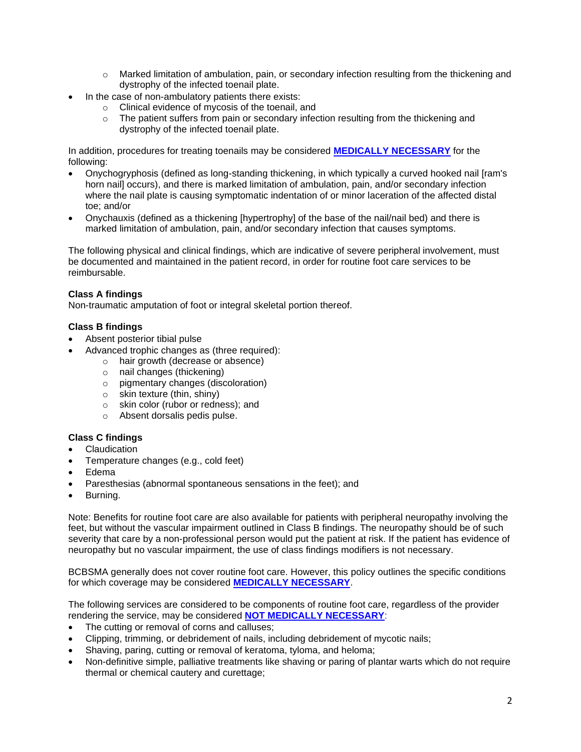- $\circ$  Marked limitation of ambulation, pain, or secondary infection resulting from the thickening and dystrophy of the infected toenail plate.
- In the case of non-ambulatory patients there exists:
	- o Clinical evidence of mycosis of the toenail, and
	- $\circ$  The patient suffers from pain or secondary infection resulting from the thickening and dystrophy of the infected toenail plate.

In addition, procedures for treating toenails may be considered **[MEDICALLY NECESSARY](https://www.bluecrossma.org/medical-policies/sites/g/files/csphws2091/files/acquiadam-assets/Definition%20of%20Med%20Nec%20Inv%20Not%20Med%20Nec%20prn.pdf#page=1)** for the following:

- Onychogryphosis (defined as long-standing thickening, in which typically a curved hooked nail [ram's horn nail] occurs), and there is marked limitation of ambulation, pain, and/or secondary infection where the nail plate is causing symptomatic indentation of or minor laceration of the affected distal toe; and/or
- Onychauxis (defined as a thickening [hypertrophy] of the base of the nail/nail bed) and there is marked limitation of ambulation, pain, and/or secondary infection that causes symptoms.

The following physical and clinical findings, which are indicative of severe peripheral involvement, must be documented and maintained in the patient record, in order for routine foot care services to be reimbursable.

#### **Class A findings**

Non-traumatic amputation of foot or integral skeletal portion thereof.

#### **Class B findings**

- Absent posterior tibial pulse
- Advanced trophic changes as (three required):
	- o hair growth (decrease or absence)
	- o nail changes (thickening)
	- o pigmentary changes (discoloration)
	- o skin texture (thin, shiny)
	- o skin color (rubor or redness); and
	- o Absent dorsalis pedis pulse.

#### **Class C findings**

- **Claudication**
- Temperature changes (e.g., cold feet)
- Edema
- Paresthesias (abnormal spontaneous sensations in the feet); and
- Burning.

Note: Benefits for routine foot care are also available for patients with peripheral neuropathy involving the feet, but without the vascular impairment outlined in Class B findings. The neuropathy should be of such severity that care by a non-professional person would put the patient at risk. If the patient has evidence of neuropathy but no vascular impairment, the use of class findings modifiers is not necessary.

BCBSMA generally does not cover routine foot care. However, this policy outlines the specific conditions for which coverage may be considered **[MEDICALLY NECESSARY](https://www.bluecrossma.org/medical-policies/sites/g/files/csphws2091/files/acquiadam-assets/Definition%20of%20Med%20Nec%20Inv%20Not%20Med%20Nec%20prn.pdf#page=1)**.

The following services are considered to be components of routine foot care, regardless of the provider rendering the service, may be considered **[NOT MEDICALLY NECESSARY](https://www.bluecrossma.org/medical-policies/sites/g/files/csphws2091/files/acquiadam-assets/Definition%20of%20Med%20Nec%20Inv%20Not%20Med%20Nec%20prn.pdf#page=1)**:

- The cutting or removal of corns and calluses;
- Clipping, trimming, or debridement of nails, including debridement of mycotic nails;
- Shaving, paring, cutting or removal of keratoma, tyloma, and heloma;
- Non-definitive simple, palliative treatments like shaving or paring of plantar warts which do not require thermal or chemical cautery and curettage;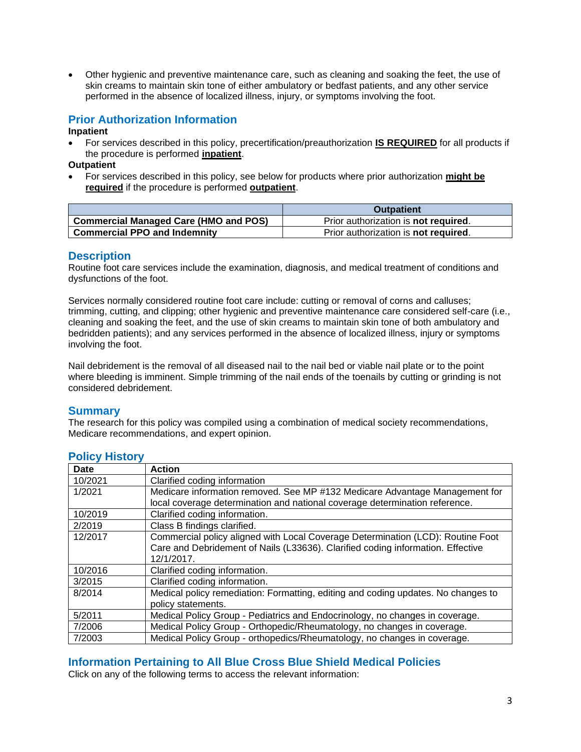• Other hygienic and preventive maintenance care, such as cleaning and soaking the feet, the use of skin creams to maintain skin tone of either ambulatory or bedfast patients, and any other service performed in the absence of localized illness, injury, or symptoms involving the foot.

# <span id="page-2-2"></span>**Prior Authorization Information**

#### **Inpatient**

• For services described in this policy, precertification/preauthorization **IS REQUIRED** for all products if the procedure is performed **inpatient**.

#### **Outpatient**

• For services described in this policy, see below for products where prior authorization **might be required** if the procedure is performed **outpatient**.

|                                              | <b>Outpatient</b>                            |
|----------------------------------------------|----------------------------------------------|
| <b>Commercial Managed Care (HMO and POS)</b> | Prior authorization is <b>not required</b> . |
| <b>Commercial PPO and Indemnity</b>          | Prior authorization is <b>not required.</b>  |

### <span id="page-2-0"></span>**Description**

Routine foot care services include the examination, diagnosis, and medical treatment of conditions and dysfunctions of the foot.

Services normally considered routine foot care include: cutting or removal of corns and calluses; trimming, cutting, and clipping; other hygienic and preventive maintenance care considered self-care (i.e., cleaning and soaking the feet, and the use of skin creams to maintain skin tone of both ambulatory and bedridden patients); and any services performed in the absence of localized illness, injury or symptoms involving the foot.

Nail debridement is the removal of all diseased nail to the nail bed or viable nail plate or to the point where bleeding is imminent. Simple trimming of the nail ends of the toenails by cutting or grinding is not considered debridement.

### **Summary**

The research for this policy was compiled using a combination of medical society recommendations, Medicare recommendations, and expert opinion.

| Date    | <b>Action</b>                                                                     |
|---------|-----------------------------------------------------------------------------------|
| 10/2021 | Clarified coding information                                                      |
| 1/2021  | Medicare information removed. See MP #132 Medicare Advantage Management for       |
|         | local coverage determination and national coverage determination reference.       |
| 10/2019 | Clarified coding information.                                                     |
| 2/2019  | Class B findings clarified.                                                       |
| 12/2017 | Commercial policy aligned with Local Coverage Determination (LCD): Routine Foot   |
|         | Care and Debridement of Nails (L33636). Clarified coding information. Effective   |
|         | 12/1/2017.                                                                        |
| 10/2016 | Clarified coding information.                                                     |
| 3/2015  | Clarified coding information.                                                     |
| 8/2014  | Medical policy remediation: Formatting, editing and coding updates. No changes to |
|         | policy statements.                                                                |
| 5/2011  | Medical Policy Group - Pediatrics and Endocrinology, no changes in coverage.      |
| 7/2006  | Medical Policy Group - Orthopedic/Rheumatology, no changes in coverage.           |
| 7/2003  | Medical Policy Group - orthopedics/Rheumatology, no changes in coverage.          |

### <span id="page-2-1"></span>**Policy History**

# <span id="page-2-3"></span>**Information Pertaining to All Blue Cross Blue Shield Medical Policies**

Click on any of the following terms to access the relevant information: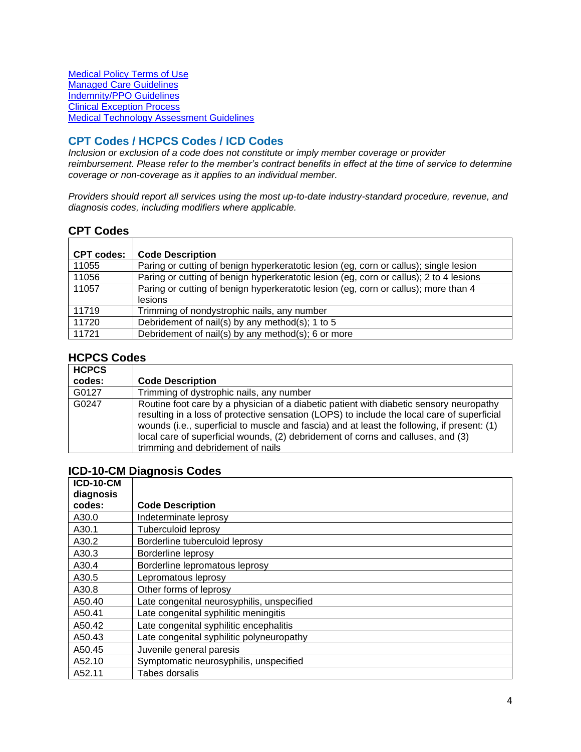[Medical Policy Terms of Use](http://www.bluecrossma.org/medical-policies/sites/g/files/csphws2091/files/acquiadam-assets/Medical_Policy_Terms_of_Use_prn.pdf) [Managed Care Guidelines](http://www.bluecrossma.org/medical-policies/sites/g/files/csphws2091/files/acquiadam-assets/Managed_Care_Guidelines_prn.pdf) [Indemnity/PPO Guidelines](http://www.bluecrossma.org/medical-policies/sites/g/files/csphws2091/files/acquiadam-assets/Indemnity_and_PPO_Guidelines_prn.pdf) [Clinical Exception Process](http://www.bluecrossma.org/medical-policies/sites/g/files/csphws2091/files/acquiadam-assets/Clinical_Exception_Process_prn.pdf) [Medical Technology Assessment Guidelines](http://www.bluecrossma.org/medical-policies/sites/g/files/csphws2091/files/acquiadam-assets/Medical_Technology_Assessment_Guidelines_prn.pdf)

# <span id="page-3-0"></span>**CPT Codes / HCPCS Codes / ICD Codes**

*Inclusion or exclusion of a code does not constitute or imply member coverage or provider reimbursement. Please refer to the member's contract benefits in effect at the time of service to determine coverage or non-coverage as it applies to an individual member.*

*Providers should report all services using the most up-to-date industry-standard procedure, revenue, and diagnosis codes, including modifiers where applicable.*

### **CPT Codes**

| <b>CPT codes:</b> | <b>Code Description</b>                                                                               |
|-------------------|-------------------------------------------------------------------------------------------------------|
| 11055             | Paring or cutting of benign hyperkeratotic lesion (eg, corn or callus); single lesion                 |
| 11056             | Paring or cutting of benign hyperkeratotic lesion (eg, corn or callus); 2 to 4 lesions                |
| 11057             | Paring or cutting of benign hyperkeratotic lesion (eq. corn or callus); more than 4<br><b>lesions</b> |
| 11719             | Trimming of nondystrophic nails, any number                                                           |
| 11720             | Debridement of nail(s) by any method(s); 1 to 5                                                       |
| 11721             | Debridement of nail(s) by any method(s); 6 or more                                                    |

# **HCPCS Codes**

| <b>HCPCS</b> |                                                                                                                                                                                                                                                                                                                                                                                                                |
|--------------|----------------------------------------------------------------------------------------------------------------------------------------------------------------------------------------------------------------------------------------------------------------------------------------------------------------------------------------------------------------------------------------------------------------|
| codes:       | <b>Code Description</b>                                                                                                                                                                                                                                                                                                                                                                                        |
| G0127        | Trimming of dystrophic nails, any number                                                                                                                                                                                                                                                                                                                                                                       |
| G0247        | Routine foot care by a physician of a diabetic patient with diabetic sensory neuropathy<br>resulting in a loss of protective sensation (LOPS) to include the local care of superficial<br>wounds (i.e., superficial to muscle and fascia) and at least the following, if present: (1)<br>local care of superficial wounds, (2) debridement of corns and calluses, and (3)<br>trimming and debridement of nails |

## **ICD-10-CM Diagnosis Codes**

| <b>ICD-10-CM</b> |                                            |
|------------------|--------------------------------------------|
| diagnosis        |                                            |
| codes:           | <b>Code Description</b>                    |
| A30.0            | Indeterminate leprosy                      |
| A30.1            | <b>Tuberculoid leprosy</b>                 |
| A30.2            | Borderline tuberculoid leprosy             |
| A30.3            | Borderline leprosy                         |
| A30.4            | Borderline lepromatous leprosy             |
| A30.5            | Lepromatous leprosy                        |
| A30.8            | Other forms of leprosy                     |
| A50.40           | Late congenital neurosyphilis, unspecified |
| A50.41           | Late congenital syphilitic meningitis      |
| A50.42           | Late congenital syphilitic encephalitis    |
| A50.43           | Late congenital syphilitic polyneuropathy  |
| A50.45           | Juvenile general paresis                   |
| A52.10           | Symptomatic neurosyphilis, unspecified     |
| A52.11           | Tabes dorsalis                             |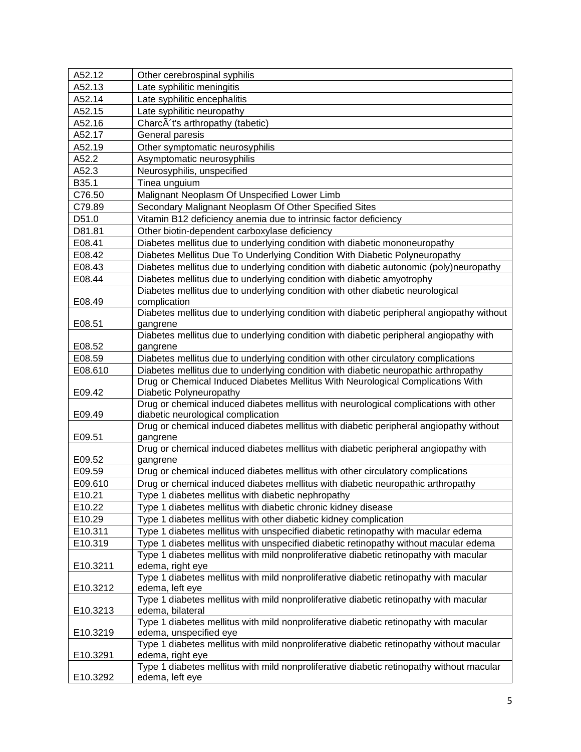| A52.13<br>Late syphilitic meningitis<br>Late syphilitic encephalitis<br>A52.14<br>A52.15<br>Late syphilitic neuropathy<br>CharcA't's arthropathy (tabetic)<br>A52.16<br>A52.17<br>General paresis<br>A52.19<br>Other symptomatic neurosyphilis<br>A52.2<br>Asymptomatic neurosyphilis<br>A52.3<br>Neurosyphilis, unspecified<br>B35.1<br>Tinea unguium<br>C76.50<br>Malignant Neoplasm Of Unspecified Lower Limb |  |
|------------------------------------------------------------------------------------------------------------------------------------------------------------------------------------------------------------------------------------------------------------------------------------------------------------------------------------------------------------------------------------------------------------------|--|
|                                                                                                                                                                                                                                                                                                                                                                                                                  |  |
|                                                                                                                                                                                                                                                                                                                                                                                                                  |  |
|                                                                                                                                                                                                                                                                                                                                                                                                                  |  |
|                                                                                                                                                                                                                                                                                                                                                                                                                  |  |
|                                                                                                                                                                                                                                                                                                                                                                                                                  |  |
|                                                                                                                                                                                                                                                                                                                                                                                                                  |  |
|                                                                                                                                                                                                                                                                                                                                                                                                                  |  |
|                                                                                                                                                                                                                                                                                                                                                                                                                  |  |
|                                                                                                                                                                                                                                                                                                                                                                                                                  |  |
|                                                                                                                                                                                                                                                                                                                                                                                                                  |  |
| Secondary Malignant Neoplasm Of Other Specified Sites<br>C79.89                                                                                                                                                                                                                                                                                                                                                  |  |
| D51.0<br>Vitamin B12 deficiency anemia due to intrinsic factor deficiency                                                                                                                                                                                                                                                                                                                                        |  |
| D81.81<br>Other biotin-dependent carboxylase deficiency                                                                                                                                                                                                                                                                                                                                                          |  |
| E08.41<br>Diabetes mellitus due to underlying condition with diabetic mononeuropathy                                                                                                                                                                                                                                                                                                                             |  |
| E08.42<br>Diabetes Mellitus Due To Underlying Condition With Diabetic Polyneuropathy                                                                                                                                                                                                                                                                                                                             |  |
| Diabetes mellitus due to underlying condition with diabetic autonomic (poly)neuropathy<br>E08.43                                                                                                                                                                                                                                                                                                                 |  |
| Diabetes mellitus due to underlying condition with diabetic amyotrophy<br>E08.44                                                                                                                                                                                                                                                                                                                                 |  |
| Diabetes mellitus due to underlying condition with other diabetic neurological                                                                                                                                                                                                                                                                                                                                   |  |
| E08.49<br>complication                                                                                                                                                                                                                                                                                                                                                                                           |  |
| Diabetes mellitus due to underlying condition with diabetic peripheral angiopathy without                                                                                                                                                                                                                                                                                                                        |  |
| E08.51<br>gangrene                                                                                                                                                                                                                                                                                                                                                                                               |  |
| Diabetes mellitus due to underlying condition with diabetic peripheral angiopathy with                                                                                                                                                                                                                                                                                                                           |  |
| E08.52<br>gangrene                                                                                                                                                                                                                                                                                                                                                                                               |  |
| E08.59<br>Diabetes mellitus due to underlying condition with other circulatory complications                                                                                                                                                                                                                                                                                                                     |  |
| E08.610<br>Diabetes mellitus due to underlying condition with diabetic neuropathic arthropathy                                                                                                                                                                                                                                                                                                                   |  |
| Drug or Chemical Induced Diabetes Mellitus With Neurological Complications With<br>Diabetic Polyneuropathy<br>E09.42                                                                                                                                                                                                                                                                                             |  |
| Drug or chemical induced diabetes mellitus with neurological complications with other                                                                                                                                                                                                                                                                                                                            |  |
| E09.49<br>diabetic neurological complication                                                                                                                                                                                                                                                                                                                                                                     |  |
| Drug or chemical induced diabetes mellitus with diabetic peripheral angiopathy without                                                                                                                                                                                                                                                                                                                           |  |
| E09.51<br>gangrene                                                                                                                                                                                                                                                                                                                                                                                               |  |
| Drug or chemical induced diabetes mellitus with diabetic peripheral angiopathy with                                                                                                                                                                                                                                                                                                                              |  |
| gangrene<br>E09.52                                                                                                                                                                                                                                                                                                                                                                                               |  |
| Drug or chemical induced diabetes mellitus with other circulatory complications<br>E09.59                                                                                                                                                                                                                                                                                                                        |  |
| E09.610<br>Drug or chemical induced diabetes mellitus with diabetic neuropathic arthropathy                                                                                                                                                                                                                                                                                                                      |  |
| E10.21<br>Type 1 diabetes mellitus with diabetic nephropathy                                                                                                                                                                                                                                                                                                                                                     |  |
| E10.22<br>Type 1 diabetes mellitus with diabetic chronic kidney disease                                                                                                                                                                                                                                                                                                                                          |  |
| E10.29<br>Type 1 diabetes mellitus with other diabetic kidney complication                                                                                                                                                                                                                                                                                                                                       |  |
| E10.311<br>Type 1 diabetes mellitus with unspecified diabetic retinopathy with macular edema                                                                                                                                                                                                                                                                                                                     |  |
| E10.319<br>Type 1 diabetes mellitus with unspecified diabetic retinopathy without macular edema                                                                                                                                                                                                                                                                                                                  |  |
| Type 1 diabetes mellitus with mild nonproliferative diabetic retinopathy with macular                                                                                                                                                                                                                                                                                                                            |  |
| E10.3211<br>edema, right eye                                                                                                                                                                                                                                                                                                                                                                                     |  |
| Type 1 diabetes mellitus with mild nonproliferative diabetic retinopathy with macular                                                                                                                                                                                                                                                                                                                            |  |
| E10.3212<br>edema, left eye                                                                                                                                                                                                                                                                                                                                                                                      |  |
| Type 1 diabetes mellitus with mild nonproliferative diabetic retinopathy with macular                                                                                                                                                                                                                                                                                                                            |  |
| E10.3213<br>edema, bilateral                                                                                                                                                                                                                                                                                                                                                                                     |  |
| Type 1 diabetes mellitus with mild nonproliferative diabetic retinopathy with macular<br>E10.3219                                                                                                                                                                                                                                                                                                                |  |
| edema, unspecified eye<br>Type 1 diabetes mellitus with mild nonproliferative diabetic retinopathy without macular                                                                                                                                                                                                                                                                                               |  |
|                                                                                                                                                                                                                                                                                                                                                                                                                  |  |
|                                                                                                                                                                                                                                                                                                                                                                                                                  |  |
| E10.3291<br>edema, right eye<br>Type 1 diabetes mellitus with mild nonproliferative diabetic retinopathy without macular                                                                                                                                                                                                                                                                                         |  |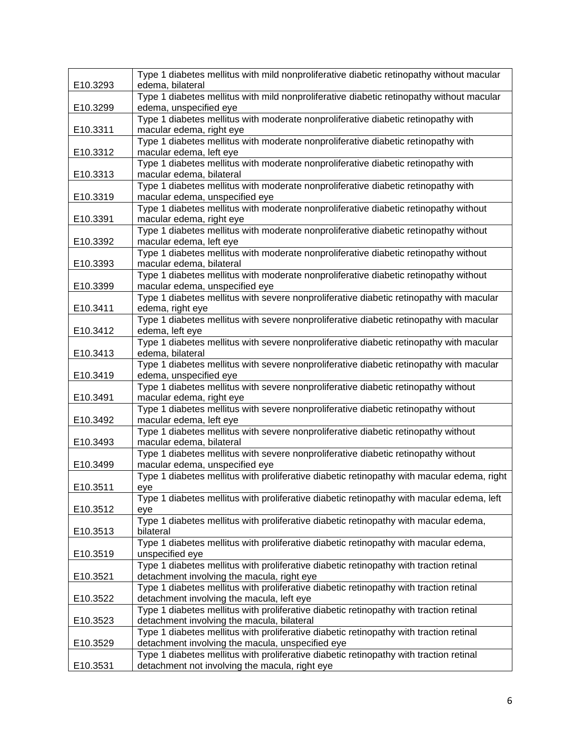|          | Type 1 diabetes mellitus with mild nonproliferative diabetic retinopathy without macular                                             |
|----------|--------------------------------------------------------------------------------------------------------------------------------------|
| E10.3293 | edema, bilateral                                                                                                                     |
|          | Type 1 diabetes mellitus with mild nonproliferative diabetic retinopathy without macular<br>edema, unspecified eye                   |
| E10.3299 | Type 1 diabetes mellitus with moderate nonproliferative diabetic retinopathy with                                                    |
| E10.3311 | macular edema, right eye                                                                                                             |
|          | Type 1 diabetes mellitus with moderate nonproliferative diabetic retinopathy with                                                    |
| E10.3312 | macular edema, left eye                                                                                                              |
|          | Type 1 diabetes mellitus with moderate nonproliferative diabetic retinopathy with                                                    |
| E10.3313 | macular edema, bilateral                                                                                                             |
|          | Type 1 diabetes mellitus with moderate nonproliferative diabetic retinopathy with                                                    |
| E10.3319 | macular edema, unspecified eye                                                                                                       |
|          | Type 1 diabetes mellitus with moderate nonproliferative diabetic retinopathy without                                                 |
| E10.3391 | macular edema, right eye                                                                                                             |
|          | Type 1 diabetes mellitus with moderate nonproliferative diabetic retinopathy without                                                 |
| E10.3392 | macular edema, left eye                                                                                                              |
|          | Type 1 diabetes mellitus with moderate nonproliferative diabetic retinopathy without                                                 |
| E10.3393 | macular edema, bilateral                                                                                                             |
|          | Type 1 diabetes mellitus with moderate nonproliferative diabetic retinopathy without                                                 |
| E10.3399 | macular edema, unspecified eye                                                                                                       |
|          | Type 1 diabetes mellitus with severe nonproliferative diabetic retinopathy with macular                                              |
| E10.3411 | edema, right eye                                                                                                                     |
|          | Type 1 diabetes mellitus with severe nonproliferative diabetic retinopathy with macular                                              |
| E10.3412 | edema, left eye                                                                                                                      |
|          | Type 1 diabetes mellitus with severe nonproliferative diabetic retinopathy with macular                                              |
| E10.3413 | edema, bilateral                                                                                                                     |
|          | Type 1 diabetes mellitus with severe nonproliferative diabetic retinopathy with macular                                              |
| E10.3419 | edema, unspecified eye<br>Type 1 diabetes mellitus with severe nonproliferative diabetic retinopathy without                         |
| E10.3491 | macular edema, right eye                                                                                                             |
|          | Type 1 diabetes mellitus with severe nonproliferative diabetic retinopathy without                                                   |
| E10.3492 | macular edema, left eye                                                                                                              |
|          | Type 1 diabetes mellitus with severe nonproliferative diabetic retinopathy without                                                   |
| E10.3493 | macular edema, bilateral                                                                                                             |
|          | Type 1 diabetes mellitus with severe nonproliferative diabetic retinopathy without                                                   |
| E10.3499 | macular edema, unspecified eye                                                                                                       |
|          | Type 1 diabetes mellitus with proliferative diabetic retinopathy with macular edema, right                                           |
| E10.3511 | eye                                                                                                                                  |
|          | Type 1 diabetes mellitus with proliferative diabetic retinopathy with macular edema, left                                            |
| E10.3512 | eye                                                                                                                                  |
|          | Type 1 diabetes mellitus with proliferative diabetic retinopathy with macular edema,                                                 |
| E10.3513 | bilateral                                                                                                                            |
|          | Type 1 diabetes mellitus with proliferative diabetic retinopathy with macular edema,                                                 |
| E10.3519 | unspecified eye                                                                                                                      |
|          | Type 1 diabetes mellitus with proliferative diabetic retinopathy with traction retinal                                               |
| E10.3521 | detachment involving the macula, right eye                                                                                           |
|          | Type 1 diabetes mellitus with proliferative diabetic retinopathy with traction retinal                                               |
| E10.3522 | detachment involving the macula, left eye                                                                                            |
|          | Type 1 diabetes mellitus with proliferative diabetic retinopathy with traction retinal                                               |
| E10.3523 | detachment involving the macula, bilateral<br>Type 1 diabetes mellitus with proliferative diabetic retinopathy with traction retinal |
| E10.3529 | detachment involving the macula, unspecified eye                                                                                     |
|          | Type 1 diabetes mellitus with proliferative diabetic retinopathy with traction retinal                                               |
| E10.3531 | detachment not involving the macula, right eye                                                                                       |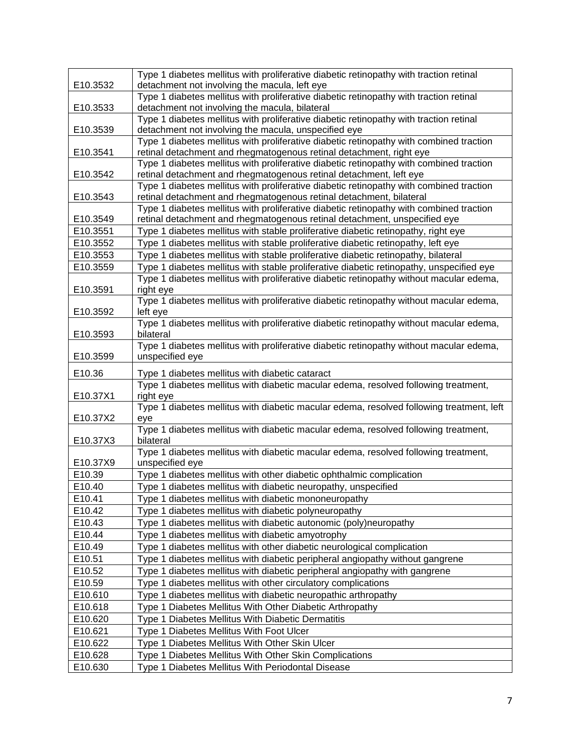|                    | Type 1 diabetes mellitus with proliferative diabetic retinopathy with traction retinal                                                                         |
|--------------------|----------------------------------------------------------------------------------------------------------------------------------------------------------------|
| E10.3532           | detachment not involving the macula, left eye                                                                                                                  |
|                    | Type 1 diabetes mellitus with proliferative diabetic retinopathy with traction retinal                                                                         |
| E10.3533           | detachment not involving the macula, bilateral                                                                                                                 |
|                    | Type 1 diabetes mellitus with proliferative diabetic retinopathy with traction retinal                                                                         |
| E10.3539           | detachment not involving the macula, unspecified eye                                                                                                           |
|                    | Type 1 diabetes mellitus with proliferative diabetic retinopathy with combined traction                                                                        |
| E10.3541           | retinal detachment and rhegmatogenous retinal detachment, right eye<br>Type 1 diabetes mellitus with proliferative diabetic retinopathy with combined traction |
| E10.3542           | retinal detachment and rhegmatogenous retinal detachment, left eye                                                                                             |
|                    | Type 1 diabetes mellitus with proliferative diabetic retinopathy with combined traction                                                                        |
| E10.3543           | retinal detachment and rhegmatogenous retinal detachment, bilateral                                                                                            |
|                    | Type 1 diabetes mellitus with proliferative diabetic retinopathy with combined traction                                                                        |
| E10.3549           | retinal detachment and rhegmatogenous retinal detachment, unspecified eye                                                                                      |
| E10.3551           | Type 1 diabetes mellitus with stable proliferative diabetic retinopathy, right eye                                                                             |
| E10.3552           | Type 1 diabetes mellitus with stable proliferative diabetic retinopathy, left eye                                                                              |
| E10.3553           | Type 1 diabetes mellitus with stable proliferative diabetic retinopathy, bilateral                                                                             |
| E10.3559           | Type 1 diabetes mellitus with stable proliferative diabetic retinopathy, unspecified eye                                                                       |
|                    | Type 1 diabetes mellitus with proliferative diabetic retinopathy without macular edema,                                                                        |
| E10.3591           | right eye                                                                                                                                                      |
|                    | Type 1 diabetes mellitus with proliferative diabetic retinopathy without macular edema,                                                                        |
| E10.3592           | left eye                                                                                                                                                       |
|                    | Type 1 diabetes mellitus with proliferative diabetic retinopathy without macular edema,                                                                        |
| E10.3593           | bilateral<br>Type 1 diabetes mellitus with proliferative diabetic retinopathy without macular edema,                                                           |
| E10.3599           | unspecified eye                                                                                                                                                |
|                    |                                                                                                                                                                |
| E10.36             | Type 1 diabetes mellitus with diabetic cataract                                                                                                                |
|                    | Type 1 diabetes mellitus with diabetic macular edema, resolved following treatment,                                                                            |
| E10.37X1           | right eye                                                                                                                                                      |
| E10.37X2           | Type 1 diabetes mellitus with diabetic macular edema, resolved following treatment, left<br>eye                                                                |
|                    | Type 1 diabetes mellitus with diabetic macular edema, resolved following treatment,                                                                            |
| E10.37X3           | bilateral                                                                                                                                                      |
|                    | Type 1 diabetes mellitus with diabetic macular edema, resolved following treatment,                                                                            |
| E10.37X9           | unspecified eye                                                                                                                                                |
| E10.39             | Type 1 diabetes mellitus with other diabetic ophthalmic complication                                                                                           |
| E10.40             | Type 1 diabetes mellitus with diabetic neuropathy, unspecified                                                                                                 |
| E10.41             | Type 1 diabetes mellitus with diabetic mononeuropathy                                                                                                          |
| E10.42             | Type 1 diabetes mellitus with diabetic polyneuropathy                                                                                                          |
| E10.43             | Type 1 diabetes mellitus with diabetic autonomic (poly)neuropathy                                                                                              |
| E10.44             | Type 1 diabetes mellitus with diabetic amyotrophy                                                                                                              |
| E10.49             | Type 1 diabetes mellitus with other diabetic neurological complication                                                                                         |
| E10.51             | Type 1 diabetes mellitus with diabetic peripheral angiopathy without gangrene                                                                                  |
| E10.52             | Type 1 diabetes mellitus with diabetic peripheral angiopathy with gangrene                                                                                     |
| E10.59             | Type 1 diabetes mellitus with other circulatory complications                                                                                                  |
| E10.610            | Type 1 diabetes mellitus with diabetic neuropathic arthropathy                                                                                                 |
| E10.618            | Type 1 Diabetes Mellitus With Other Diabetic Arthropathy                                                                                                       |
| E10.620            |                                                                                                                                                                |
|                    | Type 1 Diabetes Mellitus With Diabetic Dermatitis                                                                                                              |
| E10.621            | Type 1 Diabetes Mellitus With Foot Ulcer                                                                                                                       |
| E10.622            | Type 1 Diabetes Mellitus With Other Skin Ulcer                                                                                                                 |
| E10.628<br>E10.630 | Type 1 Diabetes Mellitus With Other Skin Complications<br>Type 1 Diabetes Mellitus With Periodontal Disease                                                    |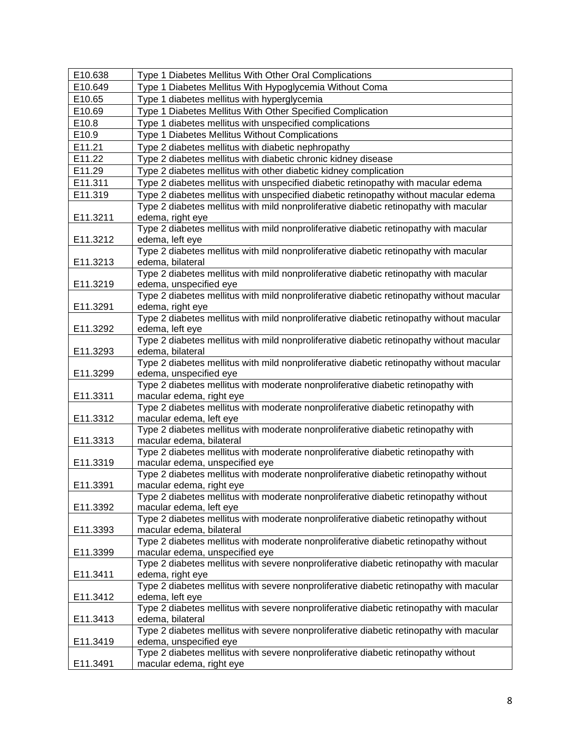| E10.638  | Type 1 Diabetes Mellitus With Other Oral Complications                                                           |
|----------|------------------------------------------------------------------------------------------------------------------|
| E10.649  | Type 1 Diabetes Mellitus With Hypoglycemia Without Coma                                                          |
| E10.65   | Type 1 diabetes mellitus with hyperglycemia                                                                      |
| E10.69   | Type 1 Diabetes Mellitus With Other Specified Complication                                                       |
| E10.8    | Type 1 diabetes mellitus with unspecified complications                                                          |
| E10.9    | Type 1 Diabetes Mellitus Without Complications                                                                   |
| E11.21   | Type 2 diabetes mellitus with diabetic nephropathy                                                               |
| E11.22   | Type 2 diabetes mellitus with diabetic chronic kidney disease                                                    |
| E11.29   | Type 2 diabetes mellitus with other diabetic kidney complication                                                 |
| E11.311  | Type 2 diabetes mellitus with unspecified diabetic retinopathy with macular edema                                |
| E11.319  | Type 2 diabetes mellitus with unspecified diabetic retinopathy without macular edema                             |
|          | Type 2 diabetes mellitus with mild nonproliferative diabetic retinopathy with macular                            |
| E11.3211 | edema, right eye                                                                                                 |
|          | Type 2 diabetes mellitus with mild nonproliferative diabetic retinopathy with macular                            |
| E11.3212 | edema, left eye                                                                                                  |
|          | Type 2 diabetes mellitus with mild nonproliferative diabetic retinopathy with macular                            |
| E11.3213 | edema, bilateral                                                                                                 |
|          | Type 2 diabetes mellitus with mild nonproliferative diabetic retinopathy with macular                            |
| E11.3219 | edema, unspecified eye                                                                                           |
|          | Type 2 diabetes mellitus with mild nonproliferative diabetic retinopathy without macular                         |
| E11.3291 | edema, right eye                                                                                                 |
|          | Type 2 diabetes mellitus with mild nonproliferative diabetic retinopathy without macular                         |
| E11.3292 | edema, left eye                                                                                                  |
|          | Type 2 diabetes mellitus with mild nonproliferative diabetic retinopathy without macular                         |
| E11.3293 | edema, bilateral                                                                                                 |
|          | Type 2 diabetes mellitus with mild nonproliferative diabetic retinopathy without macular                         |
| E11.3299 | edema, unspecified eye                                                                                           |
|          | Type 2 diabetes mellitus with moderate nonproliferative diabetic retinopathy with                                |
| E11.3311 | macular edema, right eye                                                                                         |
|          | Type 2 diabetes mellitus with moderate nonproliferative diabetic retinopathy with                                |
| E11.3312 | macular edema, left eye                                                                                          |
|          | Type 2 diabetes mellitus with moderate nonproliferative diabetic retinopathy with                                |
| E11.3313 | macular edema, bilateral                                                                                         |
|          | Type 2 diabetes mellitus with moderate nonproliferative diabetic retinopathy with                                |
| E11.3319 | macular edema, unspecified eye                                                                                   |
|          | Type 2 diabetes mellitus with moderate nonproliferative diabetic retinopathy without                             |
| E11.3391 | macular edema, right eye<br>Type 2 diabetes mellitus with moderate nonproliferative diabetic retinopathy without |
|          |                                                                                                                  |
| E11.3392 | macular edema, left eye<br>Type 2 diabetes mellitus with moderate nonproliferative diabetic retinopathy without  |
| E11.3393 | macular edema, bilateral                                                                                         |
|          | Type 2 diabetes mellitus with moderate nonproliferative diabetic retinopathy without                             |
| E11.3399 | macular edema, unspecified eye                                                                                   |
|          | Type 2 diabetes mellitus with severe nonproliferative diabetic retinopathy with macular                          |
| E11.3411 | edema, right eye                                                                                                 |
|          | Type 2 diabetes mellitus with severe nonproliferative diabetic retinopathy with macular                          |
| E11.3412 | edema, left eye                                                                                                  |
|          | Type 2 diabetes mellitus with severe nonproliferative diabetic retinopathy with macular                          |
| E11.3413 | edema, bilateral                                                                                                 |
|          | Type 2 diabetes mellitus with severe nonproliferative diabetic retinopathy with macular                          |
| E11.3419 | edema, unspecified eye                                                                                           |
|          | Type 2 diabetes mellitus with severe nonproliferative diabetic retinopathy without                               |
| E11.3491 | macular edema, right eye                                                                                         |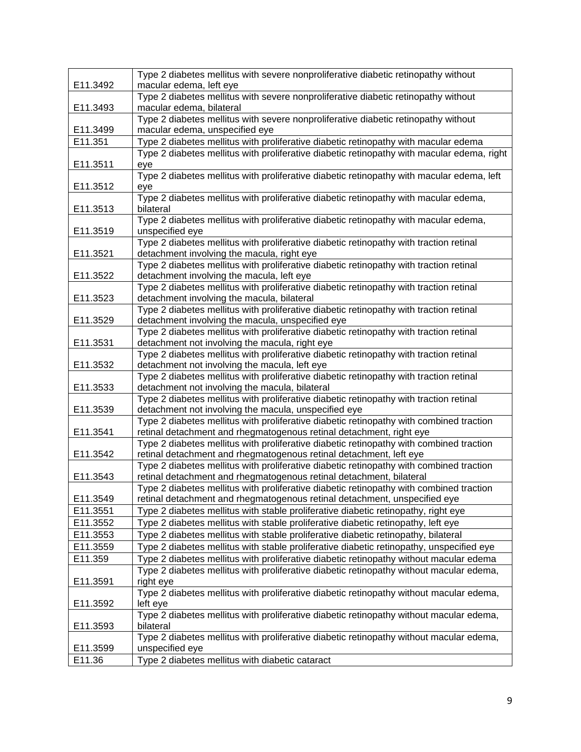|          | Type 2 diabetes mellitus with severe nonproliferative diabetic retinopathy without                                                   |
|----------|--------------------------------------------------------------------------------------------------------------------------------------|
| E11.3492 | macular edema, left eye                                                                                                              |
|          | Type 2 diabetes mellitus with severe nonproliferative diabetic retinopathy without                                                   |
| E11.3493 | macular edema, bilateral                                                                                                             |
|          | Type 2 diabetes mellitus with severe nonproliferative diabetic retinopathy without                                                   |
| E11.3499 | macular edema, unspecified eye                                                                                                       |
| E11.351  | Type 2 diabetes mellitus with proliferative diabetic retinopathy with macular edema                                                  |
|          | Type 2 diabetes mellitus with proliferative diabetic retinopathy with macular edema, right                                           |
| E11.3511 | eye                                                                                                                                  |
|          | Type 2 diabetes mellitus with proliferative diabetic retinopathy with macular edema, left                                            |
| E11.3512 | eye                                                                                                                                  |
|          | Type 2 diabetes mellitus with proliferative diabetic retinopathy with macular edema,                                                 |
| E11.3513 | bilateral                                                                                                                            |
|          | Type 2 diabetes mellitus with proliferative diabetic retinopathy with macular edema,                                                 |
| E11.3519 | unspecified eye                                                                                                                      |
|          | Type 2 diabetes mellitus with proliferative diabetic retinopathy with traction retinal                                               |
| E11.3521 | detachment involving the macula, right eye                                                                                           |
|          | Type 2 diabetes mellitus with proliferative diabetic retinopathy with traction retinal                                               |
| E11.3522 | detachment involving the macula, left eye                                                                                            |
|          | Type 2 diabetes mellitus with proliferative diabetic retinopathy with traction retinal                                               |
| E11.3523 | detachment involving the macula, bilateral<br>Type 2 diabetes mellitus with proliferative diabetic retinopathy with traction retinal |
| E11.3529 | detachment involving the macula, unspecified eye                                                                                     |
|          | Type 2 diabetes mellitus with proliferative diabetic retinopathy with traction retinal                                               |
| E11.3531 | detachment not involving the macula, right eye                                                                                       |
|          | Type 2 diabetes mellitus with proliferative diabetic retinopathy with traction retinal                                               |
| E11.3532 | detachment not involving the macula, left eye                                                                                        |
|          | Type 2 diabetes mellitus with proliferative diabetic retinopathy with traction retinal                                               |
| E11.3533 | detachment not involving the macula, bilateral                                                                                       |
|          | Type 2 diabetes mellitus with proliferative diabetic retinopathy with traction retinal                                               |
| E11.3539 | detachment not involving the macula, unspecified eye                                                                                 |
|          | Type 2 diabetes mellitus with proliferative diabetic retinopathy with combined traction                                              |
| E11.3541 | retinal detachment and rhegmatogenous retinal detachment, right eye                                                                  |
|          | Type 2 diabetes mellitus with proliferative diabetic retinopathy with combined traction                                              |
| E11.3542 | retinal detachment and rhegmatogenous retinal detachment, left eye                                                                   |
|          | Type 2 diabetes mellitus with proliferative diabetic retinopathy with combined traction                                              |
| E11.3543 | retinal detachment and rhegmatogenous retinal detachment, bilateral                                                                  |
|          | Type 2 diabetes mellitus with proliferative diabetic retinopathy with combined traction                                              |
| E11.3549 | retinal detachment and rhegmatogenous retinal detachment, unspecified eye                                                            |
| E11.3551 | Type 2 diabetes mellitus with stable proliferative diabetic retinopathy, right eye                                                   |
| E11.3552 | Type 2 diabetes mellitus with stable proliferative diabetic retinopathy, left eye                                                    |
| E11.3553 | Type 2 diabetes mellitus with stable proliferative diabetic retinopathy, bilateral                                                   |
| E11.3559 | Type 2 diabetes mellitus with stable proliferative diabetic retinopathy, unspecified eye                                             |
| E11.359  | Type 2 diabetes mellitus with proliferative diabetic retinopathy without macular edema                                               |
|          | Type 2 diabetes mellitus with proliferative diabetic retinopathy without macular edema,                                              |
| E11.3591 | right eye                                                                                                                            |
|          | Type 2 diabetes mellitus with proliferative diabetic retinopathy without macular edema,                                              |
| E11.3592 | left eye                                                                                                                             |
|          | Type 2 diabetes mellitus with proliferative diabetic retinopathy without macular edema,                                              |
| E11.3593 | bilateral                                                                                                                            |
|          | Type 2 diabetes mellitus with proliferative diabetic retinopathy without macular edema,                                              |
| E11.3599 | unspecified eye                                                                                                                      |
| E11.36   | Type 2 diabetes mellitus with diabetic cataract                                                                                      |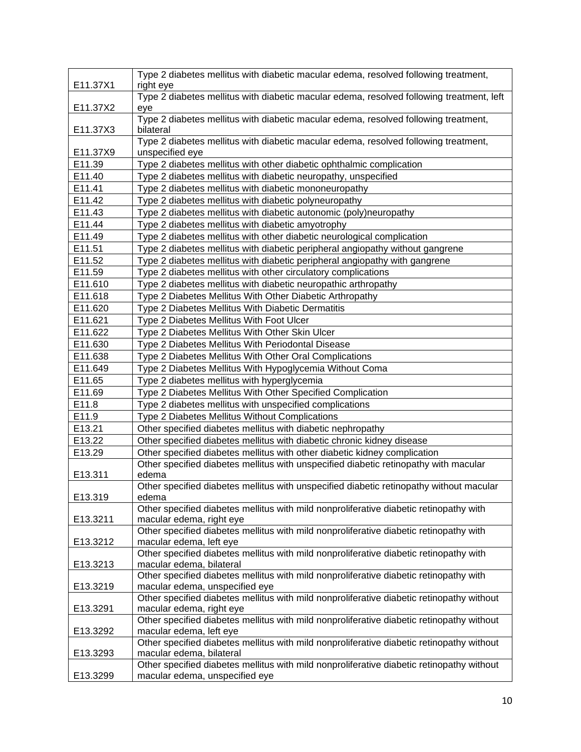|          | Type 2 diabetes mellitus with diabetic macular edema, resolved following treatment,                                   |
|----------|-----------------------------------------------------------------------------------------------------------------------|
| E11.37X1 | right eye                                                                                                             |
|          | Type 2 diabetes mellitus with diabetic macular edema, resolved following treatment, left                              |
| E11.37X2 | eye                                                                                                                   |
| E11.37X3 | Type 2 diabetes mellitus with diabetic macular edema, resolved following treatment,<br>bilateral                      |
|          | Type 2 diabetes mellitus with diabetic macular edema, resolved following treatment,                                   |
| E11.37X9 | unspecified eye                                                                                                       |
| E11.39   | Type 2 diabetes mellitus with other diabetic ophthalmic complication                                                  |
| E11.40   | Type 2 diabetes mellitus with diabetic neuropathy, unspecified                                                        |
| E11.41   | Type 2 diabetes mellitus with diabetic mononeuropathy                                                                 |
| E11.42   | Type 2 diabetes mellitus with diabetic polyneuropathy                                                                 |
| E11.43   | Type 2 diabetes mellitus with diabetic autonomic (poly)neuropathy                                                     |
| E11.44   | Type 2 diabetes mellitus with diabetic amyotrophy                                                                     |
| E11.49   | Type 2 diabetes mellitus with other diabetic neurological complication                                                |
| E11.51   | Type 2 diabetes mellitus with diabetic peripheral angiopathy without gangrene                                         |
| E11.52   | Type 2 diabetes mellitus with diabetic peripheral angiopathy with gangrene                                            |
| E11.59   | Type 2 diabetes mellitus with other circulatory complications                                                         |
| E11.610  | Type 2 diabetes mellitus with diabetic neuropathic arthropathy                                                        |
| E11.618  | Type 2 Diabetes Mellitus With Other Diabetic Arthropathy                                                              |
| E11.620  | Type 2 Diabetes Mellitus With Diabetic Dermatitis                                                                     |
| E11.621  | Type 2 Diabetes Mellitus With Foot Ulcer                                                                              |
| E11.622  | Type 2 Diabetes Mellitus With Other Skin Ulcer                                                                        |
| E11.630  | Type 2 Diabetes Mellitus With Periodontal Disease                                                                     |
| E11.638  | Type 2 Diabetes Mellitus With Other Oral Complications                                                                |
| E11.649  | Type 2 Diabetes Mellitus With Hypoglycemia Without Coma                                                               |
| E11.65   | Type 2 diabetes mellitus with hyperglycemia                                                                           |
| E11.69   | Type 2 Diabetes Mellitus With Other Specified Complication                                                            |
| E11.8    | Type 2 diabetes mellitus with unspecified complications                                                               |
| E11.9    | Type 2 Diabetes Mellitus Without Complications                                                                        |
| E13.21   | Other specified diabetes mellitus with diabetic nephropathy                                                           |
| E13.22   | Other specified diabetes mellitus with diabetic chronic kidney disease                                                |
| E13.29   | Other specified diabetes mellitus with other diabetic kidney complication                                             |
|          | Other specified diabetes mellitus with unspecified diabetic retinopathy with macular                                  |
| E13.311  | edema                                                                                                                 |
| E13.319  | Other specified diabetes mellitus with unspecified diabetic retinopathy without macular<br>edema                      |
|          | Other specified diabetes mellitus with mild nonproliferative diabetic retinopathy with                                |
| E13.3211 | macular edema, right eye                                                                                              |
|          | Other specified diabetes mellitus with mild nonproliferative diabetic retinopathy with                                |
| E13.3212 | macular edema, left eye                                                                                               |
|          | Other specified diabetes mellitus with mild nonproliferative diabetic retinopathy with                                |
| E13.3213 | macular edema, bilateral                                                                                              |
|          | Other specified diabetes mellitus with mild nonproliferative diabetic retinopathy with                                |
| E13.3219 | macular edema, unspecified eye                                                                                        |
|          | Other specified diabetes mellitus with mild nonproliferative diabetic retinopathy without                             |
| E13.3291 | macular edema, right eye                                                                                              |
|          | Other specified diabetes mellitus with mild nonproliferative diabetic retinopathy without                             |
| E13.3292 | macular edema, left eye                                                                                               |
|          | Other specified diabetes mellitus with mild nonproliferative diabetic retinopathy without                             |
| E13.3293 | macular edema, bilateral<br>Other specified diabetes mellitus with mild nonproliferative diabetic retinopathy without |
| E13.3299 | macular edema, unspecified eye                                                                                        |
|          |                                                                                                                       |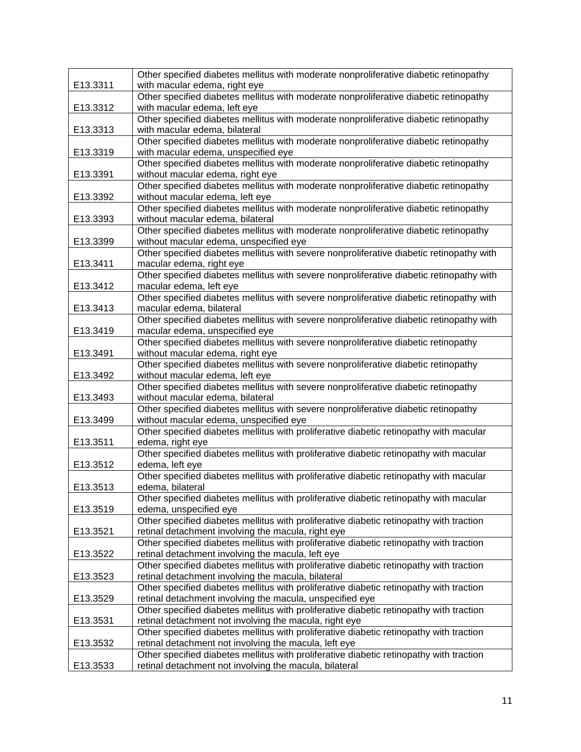|          | Other specified diabetes mellitus with moderate nonproliferative diabetic retinopathy                                                         |
|----------|-----------------------------------------------------------------------------------------------------------------------------------------------|
| E13.3311 | with macular edema, right eye                                                                                                                 |
|          | Other specified diabetes mellitus with moderate nonproliferative diabetic retinopathy                                                         |
| E13.3312 | with macular edema, left eye                                                                                                                  |
|          | Other specified diabetes mellitus with moderate nonproliferative diabetic retinopathy                                                         |
| E13.3313 | with macular edema, bilateral                                                                                                                 |
|          | Other specified diabetes mellitus with moderate nonproliferative diabetic retinopathy                                                         |
| E13.3319 | with macular edema, unspecified eye                                                                                                           |
|          | Other specified diabetes mellitus with moderate nonproliferative diabetic retinopathy                                                         |
| E13.3391 | without macular edema, right eye                                                                                                              |
|          | Other specified diabetes mellitus with moderate nonproliferative diabetic retinopathy                                                         |
| E13.3392 | without macular edema, left eye<br>Other specified diabetes mellitus with moderate nonproliferative diabetic retinopathy                      |
|          |                                                                                                                                               |
| E13.3393 | without macular edema, bilateral                                                                                                              |
|          | Other specified diabetes mellitus with moderate nonproliferative diabetic retinopathy                                                         |
| E13.3399 | without macular edema, unspecified eye<br>Other specified diabetes mellitus with severe nonproliferative diabetic retinopathy with            |
| E13.3411 | macular edema, right eye                                                                                                                      |
|          | Other specified diabetes mellitus with severe nonproliferative diabetic retinopathy with                                                      |
| E13.3412 | macular edema, left eye                                                                                                                       |
|          | Other specified diabetes mellitus with severe nonproliferative diabetic retinopathy with                                                      |
| E13.3413 | macular edema, bilateral                                                                                                                      |
|          | Other specified diabetes mellitus with severe nonproliferative diabetic retinopathy with                                                      |
| E13.3419 | macular edema, unspecified eye                                                                                                                |
|          | Other specified diabetes mellitus with severe nonproliferative diabetic retinopathy                                                           |
| E13.3491 | without macular edema, right eye                                                                                                              |
|          | Other specified diabetes mellitus with severe nonproliferative diabetic retinopathy                                                           |
| E13.3492 | without macular edema, left eye                                                                                                               |
|          | Other specified diabetes mellitus with severe nonproliferative diabetic retinopathy                                                           |
| E13.3493 | without macular edema, bilateral                                                                                                              |
|          | Other specified diabetes mellitus with severe nonproliferative diabetic retinopathy                                                           |
| E13.3499 | without macular edema, unspecified eye                                                                                                        |
|          | Other specified diabetes mellitus with proliferative diabetic retinopathy with macular                                                        |
| E13.3511 | edema, right eye                                                                                                                              |
|          | Other specified diabetes mellitus with proliferative diabetic retinopathy with macular                                                        |
| E13.3512 | edema, left eye                                                                                                                               |
|          | Other specified diabetes mellitus with proliferative diabetic retinopathy with macular                                                        |
| E13.3513 | edema, bilateral                                                                                                                              |
|          | Other specified diabetes mellitus with proliferative diabetic retinopathy with macular                                                        |
| E13.3519 | edema, unspecified eye                                                                                                                        |
|          | Other specified diabetes mellitus with proliferative diabetic retinopathy with traction                                                       |
| E13.3521 | retinal detachment involving the macula, right eye                                                                                            |
|          | Other specified diabetes mellitus with proliferative diabetic retinopathy with traction                                                       |
| E13.3522 | retinal detachment involving the macula, left eye<br>Other specified diabetes mellitus with proliferative diabetic retinopathy with traction  |
|          |                                                                                                                                               |
| E13.3523 | retinal detachment involving the macula, bilateral<br>Other specified diabetes mellitus with proliferative diabetic retinopathy with traction |
|          | retinal detachment involving the macula, unspecified eye                                                                                      |
| E13.3529 | Other specified diabetes mellitus with proliferative diabetic retinopathy with traction                                                       |
| E13.3531 | retinal detachment not involving the macula, right eye                                                                                        |
|          | Other specified diabetes mellitus with proliferative diabetic retinopathy with traction                                                       |
| E13.3532 | retinal detachment not involving the macula, left eye                                                                                         |
|          | Other specified diabetes mellitus with proliferative diabetic retinopathy with traction                                                       |
| E13.3533 | retinal detachment not involving the macula, bilateral                                                                                        |
|          |                                                                                                                                               |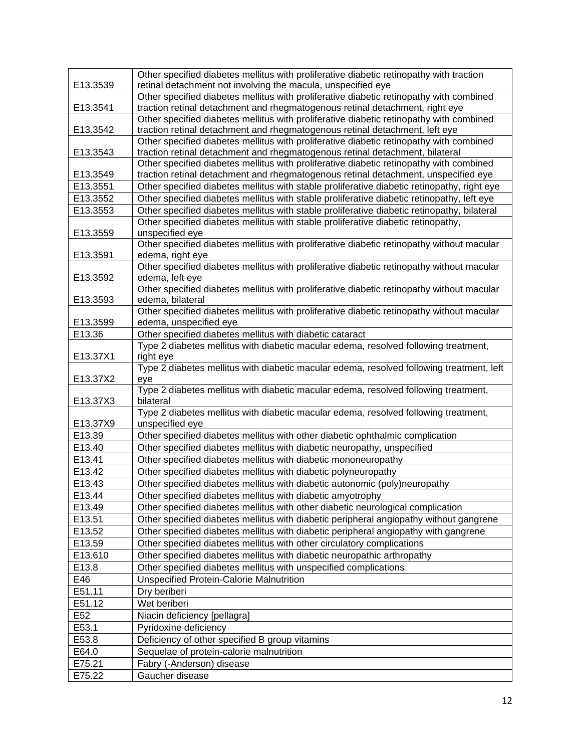| retinal detachment not involving the macula, unspecified eye<br>E13.3539<br>Other specified diabetes mellitus with proliferative diabetic retinopathy with combined<br>traction retinal detachment and rhegmatogenous retinal detachment, right eye<br>E13.3541<br>Other specified diabetes mellitus with proliferative diabetic retinopathy with combined<br>E13.3542<br>traction retinal detachment and rhegmatogenous retinal detachment, left eye<br>Other specified diabetes mellitus with proliferative diabetic retinopathy with combined<br>traction retinal detachment and rhegmatogenous retinal detachment, bilateral<br>E13.3543<br>Other specified diabetes mellitus with proliferative diabetic retinopathy with combined<br>E13.3549<br>traction retinal detachment and rhegmatogenous retinal detachment, unspecified eye<br>E13.3551<br>Other specified diabetes mellitus with stable proliferative diabetic retinopathy, right eye<br>E13.3552<br>Other specified diabetes mellitus with stable proliferative diabetic retinopathy, left eye<br>Other specified diabetes mellitus with stable proliferative diabetic retinopathy, bilateral<br>E13.3553<br>Other specified diabetes mellitus with stable proliferative diabetic retinopathy,<br>unspecified eye<br>E13.3559<br>Other specified diabetes mellitus with proliferative diabetic retinopathy without macular<br>E13.3591<br>edema, right eye<br>Other specified diabetes mellitus with proliferative diabetic retinopathy without macular<br>E13.3592<br>edema, left eye<br>Other specified diabetes mellitus with proliferative diabetic retinopathy without macular<br>E13.3593<br>edema, bilateral<br>Other specified diabetes mellitus with proliferative diabetic retinopathy without macular<br>E13.3599<br>edema, unspecified eye<br>E13.36<br>Other specified diabetes mellitus with diabetic cataract<br>Type 2 diabetes mellitus with diabetic macular edema, resolved following treatment,<br>E13.37X1<br>right eye<br>Type 2 diabetes mellitus with diabetic macular edema, resolved following treatment, left<br>E13.37X2<br>eye<br>Type 2 diabetes mellitus with diabetic macular edema, resolved following treatment,<br>bilateral<br>E13.37X3<br>Type 2 diabetes mellitus with diabetic macular edema, resolved following treatment,<br>E13.37X9<br>unspecified eye<br>E13.39<br>Other specified diabetes mellitus with other diabetic ophthalmic complication<br>E13.40<br>Other specified diabetes mellitus with diabetic neuropathy, unspecified<br>E13.41<br>Other specified diabetes mellitus with diabetic mononeuropathy<br>E13.42<br>Other specified diabetes mellitus with diabetic polyneuropathy<br>Other specified diabetes mellitus with diabetic autonomic (poly)neuropathy<br>E13.43<br>E13.44<br>Other specified diabetes mellitus with diabetic amyotrophy<br>E13.49<br>Other specified diabetes mellitus with other diabetic neurological complication<br>E13.51<br>Other specified diabetes mellitus with diabetic peripheral angiopathy without gangrene<br>E13.52<br>Other specified diabetes mellitus with diabetic peripheral angiopathy with gangrene<br>E13.59<br>Other specified diabetes mellitus with other circulatory complications<br>E13.610<br>Other specified diabetes mellitus with diabetic neuropathic arthropathy<br>E13.8<br>Other specified diabetes mellitus with unspecified complications<br>E46<br><b>Unspecified Protein-Calorie Malnutrition</b><br>E51.11<br>Dry beriberi<br>Wet beriberi<br>E51.12<br>E <sub>52</sub><br>Niacin deficiency [pellagra]<br>E53.1<br>Pyridoxine deficiency<br>E53.8<br>Deficiency of other specified B group vitamins<br>E64.0<br>Sequelae of protein-calorie malnutrition<br>E75.21<br>Fabry (-Anderson) disease |        | Other specified diabetes mellitus with proliferative diabetic retinopathy with traction |
|----------------------------------------------------------------------------------------------------------------------------------------------------------------------------------------------------------------------------------------------------------------------------------------------------------------------------------------------------------------------------------------------------------------------------------------------------------------------------------------------------------------------------------------------------------------------------------------------------------------------------------------------------------------------------------------------------------------------------------------------------------------------------------------------------------------------------------------------------------------------------------------------------------------------------------------------------------------------------------------------------------------------------------------------------------------------------------------------------------------------------------------------------------------------------------------------------------------------------------------------------------------------------------------------------------------------------------------------------------------------------------------------------------------------------------------------------------------------------------------------------------------------------------------------------------------------------------------------------------------------------------------------------------------------------------------------------------------------------------------------------------------------------------------------------------------------------------------------------------------------------------------------------------------------------------------------------------------------------------------------------------------------------------------------------------------------------------------------------------------------------------------------------------------------------------------------------------------------------------------------------------------------------------------------------------------------------------------------------------------------------------------------------------------------------------------------------------------------------------------------------------------------------------------------------------------------------------------------------------------------------------------------------------------------------------------------------------------------------------------------------------------------------------------------------------------------------------------------------------------------------------------------------------------------------------------------------------------------------------------------------------------------------------------------------------------------------------------------------------------------------------------------------------------------------------------------------------------------------------------------------------------------------------------------------------------------------------------------------------------------------------------------------------------------------------------------------------------------------------------------------------------------------------------------------------------------------------------------------------------------------------------------------------------------------------------------------------------------------------------------------------------------------------------------|--------|-----------------------------------------------------------------------------------------|
|                                                                                                                                                                                                                                                                                                                                                                                                                                                                                                                                                                                                                                                                                                                                                                                                                                                                                                                                                                                                                                                                                                                                                                                                                                                                                                                                                                                                                                                                                                                                                                                                                                                                                                                                                                                                                                                                                                                                                                                                                                                                                                                                                                                                                                                                                                                                                                                                                                                                                                                                                                                                                                                                                                                                                                                                                                                                                                                                                                                                                                                                                                                                                                                                                                                                                                                                                                                                                                                                                                                                                                                                                                                                                                                                                                                              |        |                                                                                         |
|                                                                                                                                                                                                                                                                                                                                                                                                                                                                                                                                                                                                                                                                                                                                                                                                                                                                                                                                                                                                                                                                                                                                                                                                                                                                                                                                                                                                                                                                                                                                                                                                                                                                                                                                                                                                                                                                                                                                                                                                                                                                                                                                                                                                                                                                                                                                                                                                                                                                                                                                                                                                                                                                                                                                                                                                                                                                                                                                                                                                                                                                                                                                                                                                                                                                                                                                                                                                                                                                                                                                                                                                                                                                                                                                                                                              |        |                                                                                         |
|                                                                                                                                                                                                                                                                                                                                                                                                                                                                                                                                                                                                                                                                                                                                                                                                                                                                                                                                                                                                                                                                                                                                                                                                                                                                                                                                                                                                                                                                                                                                                                                                                                                                                                                                                                                                                                                                                                                                                                                                                                                                                                                                                                                                                                                                                                                                                                                                                                                                                                                                                                                                                                                                                                                                                                                                                                                                                                                                                                                                                                                                                                                                                                                                                                                                                                                                                                                                                                                                                                                                                                                                                                                                                                                                                                                              |        |                                                                                         |
|                                                                                                                                                                                                                                                                                                                                                                                                                                                                                                                                                                                                                                                                                                                                                                                                                                                                                                                                                                                                                                                                                                                                                                                                                                                                                                                                                                                                                                                                                                                                                                                                                                                                                                                                                                                                                                                                                                                                                                                                                                                                                                                                                                                                                                                                                                                                                                                                                                                                                                                                                                                                                                                                                                                                                                                                                                                                                                                                                                                                                                                                                                                                                                                                                                                                                                                                                                                                                                                                                                                                                                                                                                                                                                                                                                                              |        |                                                                                         |
|                                                                                                                                                                                                                                                                                                                                                                                                                                                                                                                                                                                                                                                                                                                                                                                                                                                                                                                                                                                                                                                                                                                                                                                                                                                                                                                                                                                                                                                                                                                                                                                                                                                                                                                                                                                                                                                                                                                                                                                                                                                                                                                                                                                                                                                                                                                                                                                                                                                                                                                                                                                                                                                                                                                                                                                                                                                                                                                                                                                                                                                                                                                                                                                                                                                                                                                                                                                                                                                                                                                                                                                                                                                                                                                                                                                              |        |                                                                                         |
|                                                                                                                                                                                                                                                                                                                                                                                                                                                                                                                                                                                                                                                                                                                                                                                                                                                                                                                                                                                                                                                                                                                                                                                                                                                                                                                                                                                                                                                                                                                                                                                                                                                                                                                                                                                                                                                                                                                                                                                                                                                                                                                                                                                                                                                                                                                                                                                                                                                                                                                                                                                                                                                                                                                                                                                                                                                                                                                                                                                                                                                                                                                                                                                                                                                                                                                                                                                                                                                                                                                                                                                                                                                                                                                                                                                              |        |                                                                                         |
|                                                                                                                                                                                                                                                                                                                                                                                                                                                                                                                                                                                                                                                                                                                                                                                                                                                                                                                                                                                                                                                                                                                                                                                                                                                                                                                                                                                                                                                                                                                                                                                                                                                                                                                                                                                                                                                                                                                                                                                                                                                                                                                                                                                                                                                                                                                                                                                                                                                                                                                                                                                                                                                                                                                                                                                                                                                                                                                                                                                                                                                                                                                                                                                                                                                                                                                                                                                                                                                                                                                                                                                                                                                                                                                                                                                              |        |                                                                                         |
|                                                                                                                                                                                                                                                                                                                                                                                                                                                                                                                                                                                                                                                                                                                                                                                                                                                                                                                                                                                                                                                                                                                                                                                                                                                                                                                                                                                                                                                                                                                                                                                                                                                                                                                                                                                                                                                                                                                                                                                                                                                                                                                                                                                                                                                                                                                                                                                                                                                                                                                                                                                                                                                                                                                                                                                                                                                                                                                                                                                                                                                                                                                                                                                                                                                                                                                                                                                                                                                                                                                                                                                                                                                                                                                                                                                              |        |                                                                                         |
|                                                                                                                                                                                                                                                                                                                                                                                                                                                                                                                                                                                                                                                                                                                                                                                                                                                                                                                                                                                                                                                                                                                                                                                                                                                                                                                                                                                                                                                                                                                                                                                                                                                                                                                                                                                                                                                                                                                                                                                                                                                                                                                                                                                                                                                                                                                                                                                                                                                                                                                                                                                                                                                                                                                                                                                                                                                                                                                                                                                                                                                                                                                                                                                                                                                                                                                                                                                                                                                                                                                                                                                                                                                                                                                                                                                              |        |                                                                                         |
|                                                                                                                                                                                                                                                                                                                                                                                                                                                                                                                                                                                                                                                                                                                                                                                                                                                                                                                                                                                                                                                                                                                                                                                                                                                                                                                                                                                                                                                                                                                                                                                                                                                                                                                                                                                                                                                                                                                                                                                                                                                                                                                                                                                                                                                                                                                                                                                                                                                                                                                                                                                                                                                                                                                                                                                                                                                                                                                                                                                                                                                                                                                                                                                                                                                                                                                                                                                                                                                                                                                                                                                                                                                                                                                                                                                              |        |                                                                                         |
|                                                                                                                                                                                                                                                                                                                                                                                                                                                                                                                                                                                                                                                                                                                                                                                                                                                                                                                                                                                                                                                                                                                                                                                                                                                                                                                                                                                                                                                                                                                                                                                                                                                                                                                                                                                                                                                                                                                                                                                                                                                                                                                                                                                                                                                                                                                                                                                                                                                                                                                                                                                                                                                                                                                                                                                                                                                                                                                                                                                                                                                                                                                                                                                                                                                                                                                                                                                                                                                                                                                                                                                                                                                                                                                                                                                              |        |                                                                                         |
|                                                                                                                                                                                                                                                                                                                                                                                                                                                                                                                                                                                                                                                                                                                                                                                                                                                                                                                                                                                                                                                                                                                                                                                                                                                                                                                                                                                                                                                                                                                                                                                                                                                                                                                                                                                                                                                                                                                                                                                                                                                                                                                                                                                                                                                                                                                                                                                                                                                                                                                                                                                                                                                                                                                                                                                                                                                                                                                                                                                                                                                                                                                                                                                                                                                                                                                                                                                                                                                                                                                                                                                                                                                                                                                                                                                              |        |                                                                                         |
|                                                                                                                                                                                                                                                                                                                                                                                                                                                                                                                                                                                                                                                                                                                                                                                                                                                                                                                                                                                                                                                                                                                                                                                                                                                                                                                                                                                                                                                                                                                                                                                                                                                                                                                                                                                                                                                                                                                                                                                                                                                                                                                                                                                                                                                                                                                                                                                                                                                                                                                                                                                                                                                                                                                                                                                                                                                                                                                                                                                                                                                                                                                                                                                                                                                                                                                                                                                                                                                                                                                                                                                                                                                                                                                                                                                              |        |                                                                                         |
|                                                                                                                                                                                                                                                                                                                                                                                                                                                                                                                                                                                                                                                                                                                                                                                                                                                                                                                                                                                                                                                                                                                                                                                                                                                                                                                                                                                                                                                                                                                                                                                                                                                                                                                                                                                                                                                                                                                                                                                                                                                                                                                                                                                                                                                                                                                                                                                                                                                                                                                                                                                                                                                                                                                                                                                                                                                                                                                                                                                                                                                                                                                                                                                                                                                                                                                                                                                                                                                                                                                                                                                                                                                                                                                                                                                              |        |                                                                                         |
|                                                                                                                                                                                                                                                                                                                                                                                                                                                                                                                                                                                                                                                                                                                                                                                                                                                                                                                                                                                                                                                                                                                                                                                                                                                                                                                                                                                                                                                                                                                                                                                                                                                                                                                                                                                                                                                                                                                                                                                                                                                                                                                                                                                                                                                                                                                                                                                                                                                                                                                                                                                                                                                                                                                                                                                                                                                                                                                                                                                                                                                                                                                                                                                                                                                                                                                                                                                                                                                                                                                                                                                                                                                                                                                                                                                              |        |                                                                                         |
|                                                                                                                                                                                                                                                                                                                                                                                                                                                                                                                                                                                                                                                                                                                                                                                                                                                                                                                                                                                                                                                                                                                                                                                                                                                                                                                                                                                                                                                                                                                                                                                                                                                                                                                                                                                                                                                                                                                                                                                                                                                                                                                                                                                                                                                                                                                                                                                                                                                                                                                                                                                                                                                                                                                                                                                                                                                                                                                                                                                                                                                                                                                                                                                                                                                                                                                                                                                                                                                                                                                                                                                                                                                                                                                                                                                              |        |                                                                                         |
|                                                                                                                                                                                                                                                                                                                                                                                                                                                                                                                                                                                                                                                                                                                                                                                                                                                                                                                                                                                                                                                                                                                                                                                                                                                                                                                                                                                                                                                                                                                                                                                                                                                                                                                                                                                                                                                                                                                                                                                                                                                                                                                                                                                                                                                                                                                                                                                                                                                                                                                                                                                                                                                                                                                                                                                                                                                                                                                                                                                                                                                                                                                                                                                                                                                                                                                                                                                                                                                                                                                                                                                                                                                                                                                                                                                              |        |                                                                                         |
|                                                                                                                                                                                                                                                                                                                                                                                                                                                                                                                                                                                                                                                                                                                                                                                                                                                                                                                                                                                                                                                                                                                                                                                                                                                                                                                                                                                                                                                                                                                                                                                                                                                                                                                                                                                                                                                                                                                                                                                                                                                                                                                                                                                                                                                                                                                                                                                                                                                                                                                                                                                                                                                                                                                                                                                                                                                                                                                                                                                                                                                                                                                                                                                                                                                                                                                                                                                                                                                                                                                                                                                                                                                                                                                                                                                              |        |                                                                                         |
|                                                                                                                                                                                                                                                                                                                                                                                                                                                                                                                                                                                                                                                                                                                                                                                                                                                                                                                                                                                                                                                                                                                                                                                                                                                                                                                                                                                                                                                                                                                                                                                                                                                                                                                                                                                                                                                                                                                                                                                                                                                                                                                                                                                                                                                                                                                                                                                                                                                                                                                                                                                                                                                                                                                                                                                                                                                                                                                                                                                                                                                                                                                                                                                                                                                                                                                                                                                                                                                                                                                                                                                                                                                                                                                                                                                              |        |                                                                                         |
|                                                                                                                                                                                                                                                                                                                                                                                                                                                                                                                                                                                                                                                                                                                                                                                                                                                                                                                                                                                                                                                                                                                                                                                                                                                                                                                                                                                                                                                                                                                                                                                                                                                                                                                                                                                                                                                                                                                                                                                                                                                                                                                                                                                                                                                                                                                                                                                                                                                                                                                                                                                                                                                                                                                                                                                                                                                                                                                                                                                                                                                                                                                                                                                                                                                                                                                                                                                                                                                                                                                                                                                                                                                                                                                                                                                              |        |                                                                                         |
|                                                                                                                                                                                                                                                                                                                                                                                                                                                                                                                                                                                                                                                                                                                                                                                                                                                                                                                                                                                                                                                                                                                                                                                                                                                                                                                                                                                                                                                                                                                                                                                                                                                                                                                                                                                                                                                                                                                                                                                                                                                                                                                                                                                                                                                                                                                                                                                                                                                                                                                                                                                                                                                                                                                                                                                                                                                                                                                                                                                                                                                                                                                                                                                                                                                                                                                                                                                                                                                                                                                                                                                                                                                                                                                                                                                              |        |                                                                                         |
|                                                                                                                                                                                                                                                                                                                                                                                                                                                                                                                                                                                                                                                                                                                                                                                                                                                                                                                                                                                                                                                                                                                                                                                                                                                                                                                                                                                                                                                                                                                                                                                                                                                                                                                                                                                                                                                                                                                                                                                                                                                                                                                                                                                                                                                                                                                                                                                                                                                                                                                                                                                                                                                                                                                                                                                                                                                                                                                                                                                                                                                                                                                                                                                                                                                                                                                                                                                                                                                                                                                                                                                                                                                                                                                                                                                              |        |                                                                                         |
|                                                                                                                                                                                                                                                                                                                                                                                                                                                                                                                                                                                                                                                                                                                                                                                                                                                                                                                                                                                                                                                                                                                                                                                                                                                                                                                                                                                                                                                                                                                                                                                                                                                                                                                                                                                                                                                                                                                                                                                                                                                                                                                                                                                                                                                                                                                                                                                                                                                                                                                                                                                                                                                                                                                                                                                                                                                                                                                                                                                                                                                                                                                                                                                                                                                                                                                                                                                                                                                                                                                                                                                                                                                                                                                                                                                              |        |                                                                                         |
|                                                                                                                                                                                                                                                                                                                                                                                                                                                                                                                                                                                                                                                                                                                                                                                                                                                                                                                                                                                                                                                                                                                                                                                                                                                                                                                                                                                                                                                                                                                                                                                                                                                                                                                                                                                                                                                                                                                                                                                                                                                                                                                                                                                                                                                                                                                                                                                                                                                                                                                                                                                                                                                                                                                                                                                                                                                                                                                                                                                                                                                                                                                                                                                                                                                                                                                                                                                                                                                                                                                                                                                                                                                                                                                                                                                              |        |                                                                                         |
|                                                                                                                                                                                                                                                                                                                                                                                                                                                                                                                                                                                                                                                                                                                                                                                                                                                                                                                                                                                                                                                                                                                                                                                                                                                                                                                                                                                                                                                                                                                                                                                                                                                                                                                                                                                                                                                                                                                                                                                                                                                                                                                                                                                                                                                                                                                                                                                                                                                                                                                                                                                                                                                                                                                                                                                                                                                                                                                                                                                                                                                                                                                                                                                                                                                                                                                                                                                                                                                                                                                                                                                                                                                                                                                                                                                              |        |                                                                                         |
|                                                                                                                                                                                                                                                                                                                                                                                                                                                                                                                                                                                                                                                                                                                                                                                                                                                                                                                                                                                                                                                                                                                                                                                                                                                                                                                                                                                                                                                                                                                                                                                                                                                                                                                                                                                                                                                                                                                                                                                                                                                                                                                                                                                                                                                                                                                                                                                                                                                                                                                                                                                                                                                                                                                                                                                                                                                                                                                                                                                                                                                                                                                                                                                                                                                                                                                                                                                                                                                                                                                                                                                                                                                                                                                                                                                              |        |                                                                                         |
|                                                                                                                                                                                                                                                                                                                                                                                                                                                                                                                                                                                                                                                                                                                                                                                                                                                                                                                                                                                                                                                                                                                                                                                                                                                                                                                                                                                                                                                                                                                                                                                                                                                                                                                                                                                                                                                                                                                                                                                                                                                                                                                                                                                                                                                                                                                                                                                                                                                                                                                                                                                                                                                                                                                                                                                                                                                                                                                                                                                                                                                                                                                                                                                                                                                                                                                                                                                                                                                                                                                                                                                                                                                                                                                                                                                              |        |                                                                                         |
|                                                                                                                                                                                                                                                                                                                                                                                                                                                                                                                                                                                                                                                                                                                                                                                                                                                                                                                                                                                                                                                                                                                                                                                                                                                                                                                                                                                                                                                                                                                                                                                                                                                                                                                                                                                                                                                                                                                                                                                                                                                                                                                                                                                                                                                                                                                                                                                                                                                                                                                                                                                                                                                                                                                                                                                                                                                                                                                                                                                                                                                                                                                                                                                                                                                                                                                                                                                                                                                                                                                                                                                                                                                                                                                                                                                              |        |                                                                                         |
|                                                                                                                                                                                                                                                                                                                                                                                                                                                                                                                                                                                                                                                                                                                                                                                                                                                                                                                                                                                                                                                                                                                                                                                                                                                                                                                                                                                                                                                                                                                                                                                                                                                                                                                                                                                                                                                                                                                                                                                                                                                                                                                                                                                                                                                                                                                                                                                                                                                                                                                                                                                                                                                                                                                                                                                                                                                                                                                                                                                                                                                                                                                                                                                                                                                                                                                                                                                                                                                                                                                                                                                                                                                                                                                                                                                              |        |                                                                                         |
|                                                                                                                                                                                                                                                                                                                                                                                                                                                                                                                                                                                                                                                                                                                                                                                                                                                                                                                                                                                                                                                                                                                                                                                                                                                                                                                                                                                                                                                                                                                                                                                                                                                                                                                                                                                                                                                                                                                                                                                                                                                                                                                                                                                                                                                                                                                                                                                                                                                                                                                                                                                                                                                                                                                                                                                                                                                                                                                                                                                                                                                                                                                                                                                                                                                                                                                                                                                                                                                                                                                                                                                                                                                                                                                                                                                              |        |                                                                                         |
|                                                                                                                                                                                                                                                                                                                                                                                                                                                                                                                                                                                                                                                                                                                                                                                                                                                                                                                                                                                                                                                                                                                                                                                                                                                                                                                                                                                                                                                                                                                                                                                                                                                                                                                                                                                                                                                                                                                                                                                                                                                                                                                                                                                                                                                                                                                                                                                                                                                                                                                                                                                                                                                                                                                                                                                                                                                                                                                                                                                                                                                                                                                                                                                                                                                                                                                                                                                                                                                                                                                                                                                                                                                                                                                                                                                              |        |                                                                                         |
|                                                                                                                                                                                                                                                                                                                                                                                                                                                                                                                                                                                                                                                                                                                                                                                                                                                                                                                                                                                                                                                                                                                                                                                                                                                                                                                                                                                                                                                                                                                                                                                                                                                                                                                                                                                                                                                                                                                                                                                                                                                                                                                                                                                                                                                                                                                                                                                                                                                                                                                                                                                                                                                                                                                                                                                                                                                                                                                                                                                                                                                                                                                                                                                                                                                                                                                                                                                                                                                                                                                                                                                                                                                                                                                                                                                              |        |                                                                                         |
|                                                                                                                                                                                                                                                                                                                                                                                                                                                                                                                                                                                                                                                                                                                                                                                                                                                                                                                                                                                                                                                                                                                                                                                                                                                                                                                                                                                                                                                                                                                                                                                                                                                                                                                                                                                                                                                                                                                                                                                                                                                                                                                                                                                                                                                                                                                                                                                                                                                                                                                                                                                                                                                                                                                                                                                                                                                                                                                                                                                                                                                                                                                                                                                                                                                                                                                                                                                                                                                                                                                                                                                                                                                                                                                                                                                              |        |                                                                                         |
|                                                                                                                                                                                                                                                                                                                                                                                                                                                                                                                                                                                                                                                                                                                                                                                                                                                                                                                                                                                                                                                                                                                                                                                                                                                                                                                                                                                                                                                                                                                                                                                                                                                                                                                                                                                                                                                                                                                                                                                                                                                                                                                                                                                                                                                                                                                                                                                                                                                                                                                                                                                                                                                                                                                                                                                                                                                                                                                                                                                                                                                                                                                                                                                                                                                                                                                                                                                                                                                                                                                                                                                                                                                                                                                                                                                              |        |                                                                                         |
|                                                                                                                                                                                                                                                                                                                                                                                                                                                                                                                                                                                                                                                                                                                                                                                                                                                                                                                                                                                                                                                                                                                                                                                                                                                                                                                                                                                                                                                                                                                                                                                                                                                                                                                                                                                                                                                                                                                                                                                                                                                                                                                                                                                                                                                                                                                                                                                                                                                                                                                                                                                                                                                                                                                                                                                                                                                                                                                                                                                                                                                                                                                                                                                                                                                                                                                                                                                                                                                                                                                                                                                                                                                                                                                                                                                              |        |                                                                                         |
|                                                                                                                                                                                                                                                                                                                                                                                                                                                                                                                                                                                                                                                                                                                                                                                                                                                                                                                                                                                                                                                                                                                                                                                                                                                                                                                                                                                                                                                                                                                                                                                                                                                                                                                                                                                                                                                                                                                                                                                                                                                                                                                                                                                                                                                                                                                                                                                                                                                                                                                                                                                                                                                                                                                                                                                                                                                                                                                                                                                                                                                                                                                                                                                                                                                                                                                                                                                                                                                                                                                                                                                                                                                                                                                                                                                              |        |                                                                                         |
|                                                                                                                                                                                                                                                                                                                                                                                                                                                                                                                                                                                                                                                                                                                                                                                                                                                                                                                                                                                                                                                                                                                                                                                                                                                                                                                                                                                                                                                                                                                                                                                                                                                                                                                                                                                                                                                                                                                                                                                                                                                                                                                                                                                                                                                                                                                                                                                                                                                                                                                                                                                                                                                                                                                                                                                                                                                                                                                                                                                                                                                                                                                                                                                                                                                                                                                                                                                                                                                                                                                                                                                                                                                                                                                                                                                              |        |                                                                                         |
|                                                                                                                                                                                                                                                                                                                                                                                                                                                                                                                                                                                                                                                                                                                                                                                                                                                                                                                                                                                                                                                                                                                                                                                                                                                                                                                                                                                                                                                                                                                                                                                                                                                                                                                                                                                                                                                                                                                                                                                                                                                                                                                                                                                                                                                                                                                                                                                                                                                                                                                                                                                                                                                                                                                                                                                                                                                                                                                                                                                                                                                                                                                                                                                                                                                                                                                                                                                                                                                                                                                                                                                                                                                                                                                                                                                              |        |                                                                                         |
|                                                                                                                                                                                                                                                                                                                                                                                                                                                                                                                                                                                                                                                                                                                                                                                                                                                                                                                                                                                                                                                                                                                                                                                                                                                                                                                                                                                                                                                                                                                                                                                                                                                                                                                                                                                                                                                                                                                                                                                                                                                                                                                                                                                                                                                                                                                                                                                                                                                                                                                                                                                                                                                                                                                                                                                                                                                                                                                                                                                                                                                                                                                                                                                                                                                                                                                                                                                                                                                                                                                                                                                                                                                                                                                                                                                              |        |                                                                                         |
|                                                                                                                                                                                                                                                                                                                                                                                                                                                                                                                                                                                                                                                                                                                                                                                                                                                                                                                                                                                                                                                                                                                                                                                                                                                                                                                                                                                                                                                                                                                                                                                                                                                                                                                                                                                                                                                                                                                                                                                                                                                                                                                                                                                                                                                                                                                                                                                                                                                                                                                                                                                                                                                                                                                                                                                                                                                                                                                                                                                                                                                                                                                                                                                                                                                                                                                                                                                                                                                                                                                                                                                                                                                                                                                                                                                              |        |                                                                                         |
|                                                                                                                                                                                                                                                                                                                                                                                                                                                                                                                                                                                                                                                                                                                                                                                                                                                                                                                                                                                                                                                                                                                                                                                                                                                                                                                                                                                                                                                                                                                                                                                                                                                                                                                                                                                                                                                                                                                                                                                                                                                                                                                                                                                                                                                                                                                                                                                                                                                                                                                                                                                                                                                                                                                                                                                                                                                                                                                                                                                                                                                                                                                                                                                                                                                                                                                                                                                                                                                                                                                                                                                                                                                                                                                                                                                              |        |                                                                                         |
|                                                                                                                                                                                                                                                                                                                                                                                                                                                                                                                                                                                                                                                                                                                                                                                                                                                                                                                                                                                                                                                                                                                                                                                                                                                                                                                                                                                                                                                                                                                                                                                                                                                                                                                                                                                                                                                                                                                                                                                                                                                                                                                                                                                                                                                                                                                                                                                                                                                                                                                                                                                                                                                                                                                                                                                                                                                                                                                                                                                                                                                                                                                                                                                                                                                                                                                                                                                                                                                                                                                                                                                                                                                                                                                                                                                              |        |                                                                                         |
|                                                                                                                                                                                                                                                                                                                                                                                                                                                                                                                                                                                                                                                                                                                                                                                                                                                                                                                                                                                                                                                                                                                                                                                                                                                                                                                                                                                                                                                                                                                                                                                                                                                                                                                                                                                                                                                                                                                                                                                                                                                                                                                                                                                                                                                                                                                                                                                                                                                                                                                                                                                                                                                                                                                                                                                                                                                                                                                                                                                                                                                                                                                                                                                                                                                                                                                                                                                                                                                                                                                                                                                                                                                                                                                                                                                              |        |                                                                                         |
|                                                                                                                                                                                                                                                                                                                                                                                                                                                                                                                                                                                                                                                                                                                                                                                                                                                                                                                                                                                                                                                                                                                                                                                                                                                                                                                                                                                                                                                                                                                                                                                                                                                                                                                                                                                                                                                                                                                                                                                                                                                                                                                                                                                                                                                                                                                                                                                                                                                                                                                                                                                                                                                                                                                                                                                                                                                                                                                                                                                                                                                                                                                                                                                                                                                                                                                                                                                                                                                                                                                                                                                                                                                                                                                                                                                              |        |                                                                                         |
|                                                                                                                                                                                                                                                                                                                                                                                                                                                                                                                                                                                                                                                                                                                                                                                                                                                                                                                                                                                                                                                                                                                                                                                                                                                                                                                                                                                                                                                                                                                                                                                                                                                                                                                                                                                                                                                                                                                                                                                                                                                                                                                                                                                                                                                                                                                                                                                                                                                                                                                                                                                                                                                                                                                                                                                                                                                                                                                                                                                                                                                                                                                                                                                                                                                                                                                                                                                                                                                                                                                                                                                                                                                                                                                                                                                              |        |                                                                                         |
|                                                                                                                                                                                                                                                                                                                                                                                                                                                                                                                                                                                                                                                                                                                                                                                                                                                                                                                                                                                                                                                                                                                                                                                                                                                                                                                                                                                                                                                                                                                                                                                                                                                                                                                                                                                                                                                                                                                                                                                                                                                                                                                                                                                                                                                                                                                                                                                                                                                                                                                                                                                                                                                                                                                                                                                                                                                                                                                                                                                                                                                                                                                                                                                                                                                                                                                                                                                                                                                                                                                                                                                                                                                                                                                                                                                              |        |                                                                                         |
|                                                                                                                                                                                                                                                                                                                                                                                                                                                                                                                                                                                                                                                                                                                                                                                                                                                                                                                                                                                                                                                                                                                                                                                                                                                                                                                                                                                                                                                                                                                                                                                                                                                                                                                                                                                                                                                                                                                                                                                                                                                                                                                                                                                                                                                                                                                                                                                                                                                                                                                                                                                                                                                                                                                                                                                                                                                                                                                                                                                                                                                                                                                                                                                                                                                                                                                                                                                                                                                                                                                                                                                                                                                                                                                                                                                              |        |                                                                                         |
|                                                                                                                                                                                                                                                                                                                                                                                                                                                                                                                                                                                                                                                                                                                                                                                                                                                                                                                                                                                                                                                                                                                                                                                                                                                                                                                                                                                                                                                                                                                                                                                                                                                                                                                                                                                                                                                                                                                                                                                                                                                                                                                                                                                                                                                                                                                                                                                                                                                                                                                                                                                                                                                                                                                                                                                                                                                                                                                                                                                                                                                                                                                                                                                                                                                                                                                                                                                                                                                                                                                                                                                                                                                                                                                                                                                              |        |                                                                                         |
|                                                                                                                                                                                                                                                                                                                                                                                                                                                                                                                                                                                                                                                                                                                                                                                                                                                                                                                                                                                                                                                                                                                                                                                                                                                                                                                                                                                                                                                                                                                                                                                                                                                                                                                                                                                                                                                                                                                                                                                                                                                                                                                                                                                                                                                                                                                                                                                                                                                                                                                                                                                                                                                                                                                                                                                                                                                                                                                                                                                                                                                                                                                                                                                                                                                                                                                                                                                                                                                                                                                                                                                                                                                                                                                                                                                              |        |                                                                                         |
|                                                                                                                                                                                                                                                                                                                                                                                                                                                                                                                                                                                                                                                                                                                                                                                                                                                                                                                                                                                                                                                                                                                                                                                                                                                                                                                                                                                                                                                                                                                                                                                                                                                                                                                                                                                                                                                                                                                                                                                                                                                                                                                                                                                                                                                                                                                                                                                                                                                                                                                                                                                                                                                                                                                                                                                                                                                                                                                                                                                                                                                                                                                                                                                                                                                                                                                                                                                                                                                                                                                                                                                                                                                                                                                                                                                              | E75.22 | Gaucher disease                                                                         |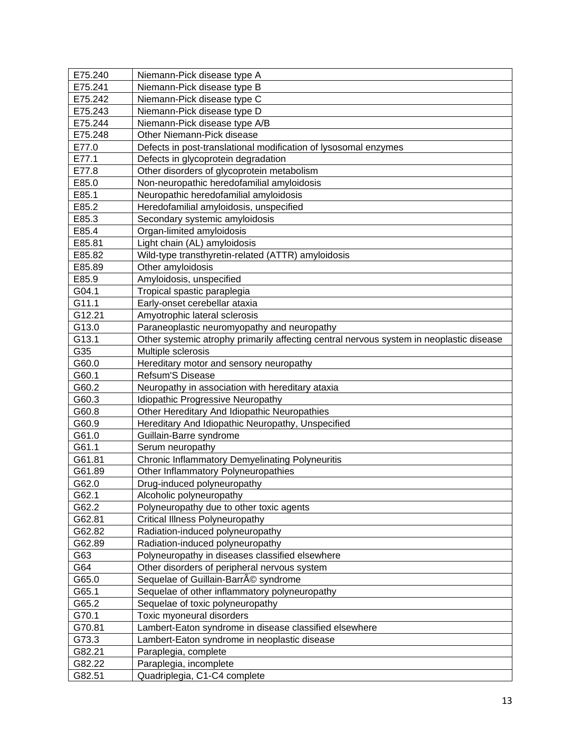| E75.240 | Niemann-Pick disease type A                                                             |
|---------|-----------------------------------------------------------------------------------------|
| E75.241 | Niemann-Pick disease type B                                                             |
| E75.242 | Niemann-Pick disease type C                                                             |
| E75.243 | Niemann-Pick disease type D                                                             |
| E75.244 | Niemann-Pick disease type A/B                                                           |
| E75.248 | Other Niemann-Pick disease                                                              |
| E77.0   | Defects in post-translational modification of lysosomal enzymes                         |
| E77.1   | Defects in glycoprotein degradation                                                     |
| E77.8   | Other disorders of glycoprotein metabolism                                              |
| E85.0   | Non-neuropathic heredofamilial amyloidosis                                              |
| E85.1   | Neuropathic heredofamilial amyloidosis                                                  |
| E85.2   | Heredofamilial amyloidosis, unspecified                                                 |
| E85.3   | Secondary systemic amyloidosis                                                          |
| E85.4   | Organ-limited amyloidosis                                                               |
| E85.81  | Light chain (AL) amyloidosis                                                            |
| E85.82  | Wild-type transthyretin-related (ATTR) amyloidosis                                      |
| E85.89  | Other amyloidosis                                                                       |
| E85.9   | Amyloidosis, unspecified                                                                |
| G04.1   | Tropical spastic paraplegia                                                             |
| G11.1   | Early-onset cerebellar ataxia                                                           |
| G12.21  | Amyotrophic lateral sclerosis                                                           |
| G13.0   | Paraneoplastic neuromyopathy and neuropathy                                             |
| G13.1   | Other systemic atrophy primarily affecting central nervous system in neoplastic disease |
| G35     | Multiple sclerosis                                                                      |
| G60.0   | Hereditary motor and sensory neuropathy                                                 |
| G60.1   | Refsum'S Disease                                                                        |
| G60.2   | Neuropathy in association with hereditary ataxia                                        |
| G60.3   | Idiopathic Progressive Neuropathy                                                       |
| G60.8   | Other Hereditary And Idiopathic Neuropathies                                            |
| G60.9   | Hereditary And Idiopathic Neuropathy, Unspecified                                       |
| G61.0   | Guillain-Barre syndrome                                                                 |
| G61.1   | Serum neuropathy                                                                        |
| G61.81  | <b>Chronic Inflammatory Demyelinating Polyneuritis</b>                                  |
| G61.89  | Other Inflammatory Polyneuropathies                                                     |
| G62.0   | Drug-induced polyneuropathy                                                             |
| G62.1   | Alcoholic polyneuropathy                                                                |
| G62.2   | Polyneuropathy due to other toxic agents                                                |
| G62.81  | <b>Critical Illness Polyneuropathy</b>                                                  |
| G62.82  | Radiation-induced polyneuropathy                                                        |
| G62.89  | Radiation-induced polyneuropathy                                                        |
| G63     | Polyneuropathy in diseases classified elsewhere                                         |
| G64     | Other disorders of peripheral nervous system                                            |
| G65.0   | Sequelae of Guillain-Barré syndrome                                                     |
| G65.1   | Sequelae of other inflammatory polyneuropathy                                           |
| G65.2   | Sequelae of toxic polyneuropathy                                                        |
| G70.1   | Toxic myoneural disorders                                                               |
| G70.81  | Lambert-Eaton syndrome in disease classified elsewhere                                  |
| G73.3   | Lambert-Eaton syndrome in neoplastic disease                                            |
| G82.21  | Paraplegia, complete                                                                    |
| G82.22  | Paraplegia, incomplete                                                                  |
| G82.51  | Quadriplegia, C1-C4 complete                                                            |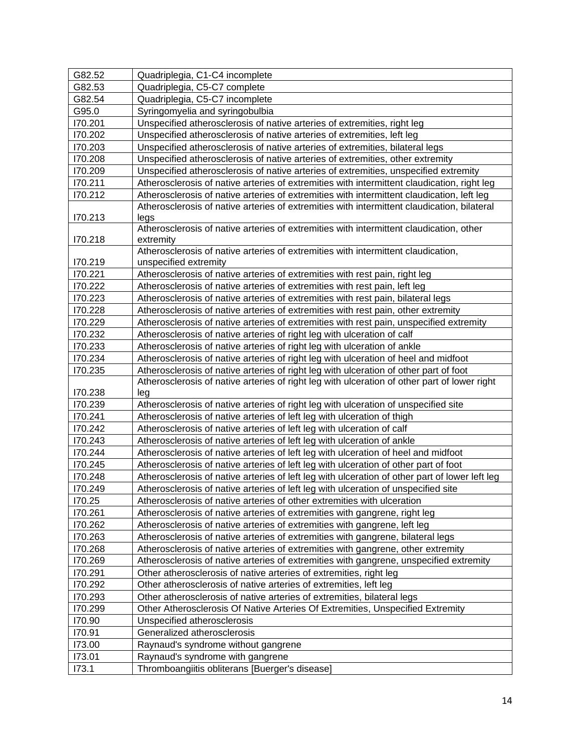| G82.52             | Quadriplegia, C1-C4 incomplete                                                                                                                                               |
|--------------------|------------------------------------------------------------------------------------------------------------------------------------------------------------------------------|
| G82.53             | Quadriplegia, C5-C7 complete                                                                                                                                                 |
| G82.54             | Quadriplegia, C5-C7 incomplete                                                                                                                                               |
| G95.0              | Syringomyelia and syringobulbia                                                                                                                                              |
| 170.201            | Unspecified atherosclerosis of native arteries of extremities, right leg                                                                                                     |
| 170.202            | Unspecified atherosclerosis of native arteries of extremities, left leg                                                                                                      |
| 170.203            | Unspecified atherosclerosis of native arteries of extremities, bilateral legs                                                                                                |
| 170.208            | Unspecified atherosclerosis of native arteries of extremities, other extremity                                                                                               |
| 170.209            | Unspecified atherosclerosis of native arteries of extremities, unspecified extremity                                                                                         |
| 170.211            | Atherosclerosis of native arteries of extremities with intermittent claudication, right leg                                                                                  |
| 170.212            | Atherosclerosis of native arteries of extremities with intermittent claudication, left leg                                                                                   |
|                    | Atherosclerosis of native arteries of extremities with intermittent claudication, bilateral                                                                                  |
| 170.213            | legs                                                                                                                                                                         |
|                    | Atherosclerosis of native arteries of extremities with intermittent claudication, other                                                                                      |
| 170.218            | extremity                                                                                                                                                                    |
|                    | Atherosclerosis of native arteries of extremities with intermittent claudication,                                                                                            |
| 170.219            | unspecified extremity                                                                                                                                                        |
| 170.221            | Atherosclerosis of native arteries of extremities with rest pain, right leg                                                                                                  |
| 170.222            | Atherosclerosis of native arteries of extremities with rest pain, left leg                                                                                                   |
| 170.223            | Atherosclerosis of native arteries of extremities with rest pain, bilateral legs                                                                                             |
| 170.228            | Atherosclerosis of native arteries of extremities with rest pain, other extremity                                                                                            |
| 170.229            | Atherosclerosis of native arteries of extremities with rest pain, unspecified extremity                                                                                      |
| 170.232<br>170.233 | Atherosclerosis of native arteries of right leg with ulceration of calf                                                                                                      |
| 170.234            | Atherosclerosis of native arteries of right leg with ulceration of ankle                                                                                                     |
| 170.235            | Atherosclerosis of native arteries of right leg with ulceration of heel and midfoot<br>Atherosclerosis of native arteries of right leg with ulceration of other part of foot |
|                    | Atherosclerosis of native arteries of right leg with ulceration of other part of lower right                                                                                 |
| 170.238            | leg                                                                                                                                                                          |
| 170.239            | Atherosclerosis of native arteries of right leg with ulceration of unspecified site                                                                                          |
| 170.241            | Atherosclerosis of native arteries of left leg with ulceration of thigh                                                                                                      |
| 170.242            | Atherosclerosis of native arteries of left leg with ulceration of calf                                                                                                       |
| 170.243            | Atherosclerosis of native arteries of left leg with ulceration of ankle                                                                                                      |
| 170.244            | Atherosclerosis of native arteries of left leg with ulceration of heel and midfoot                                                                                           |
| 170.245            | Atherosclerosis of native arteries of left leg with ulceration of other part of foot                                                                                         |
| 170.248            | Atherosclerosis of native arteries of left leg with ulceration of other part of lower left leg                                                                               |
| 170.249            | Atherosclerosis of native arteries of left leg with ulceration of unspecified site                                                                                           |
| 170.25             | Atherosclerosis of native arteries of other extremities with ulceration                                                                                                      |
| 170.261            | Atherosclerosis of native arteries of extremities with gangrene, right leg                                                                                                   |
| 170.262            | Atherosclerosis of native arteries of extremities with gangrene, left leg                                                                                                    |
| 170.263            | Atherosclerosis of native arteries of extremities with gangrene, bilateral legs                                                                                              |
| 170.268            | Atherosclerosis of native arteries of extremities with gangrene, other extremity                                                                                             |
| 170.269            | Atherosclerosis of native arteries of extremities with gangrene, unspecified extremity                                                                                       |
| 170.291            | Other atherosclerosis of native arteries of extremities, right leg                                                                                                           |
| 170.292            | Other atherosclerosis of native arteries of extremities, left leg                                                                                                            |
| 170.293            | Other atherosclerosis of native arteries of extremities, bilateral legs                                                                                                      |
| 170.299            | Other Atherosclerosis Of Native Arteries Of Extremities, Unspecified Extremity                                                                                               |
| 170.90             | Unspecified atherosclerosis                                                                                                                                                  |
| 170.91             | Generalized atherosclerosis                                                                                                                                                  |
| 173.00             | Raynaud's syndrome without gangrene                                                                                                                                          |
| 173.01             | Raynaud's syndrome with gangrene                                                                                                                                             |
| 173.1              | Thromboangiitis obliterans [Buerger's disease]                                                                                                                               |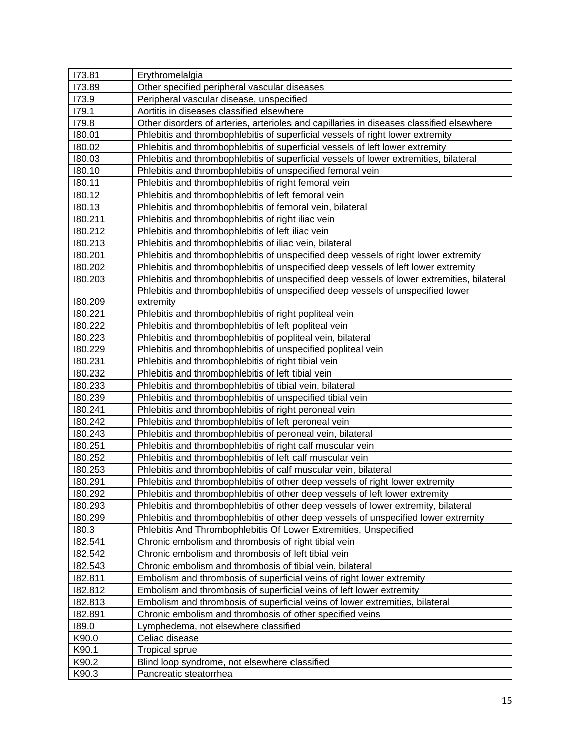| 173.81  | Erythromelalgia                                                                            |
|---------|--------------------------------------------------------------------------------------------|
| 173.89  | Other specified peripheral vascular diseases                                               |
| 173.9   | Peripheral vascular disease, unspecified                                                   |
| 179.1   | Aortitis in diseases classified elsewhere                                                  |
| 179.8   | Other disorders of arteries, arterioles and capillaries in diseases classified elsewhere   |
| 180.01  | Phlebitis and thrombophlebitis of superficial vessels of right lower extremity             |
| 180.02  | Phlebitis and thrombophlebitis of superficial vessels of left lower extremity              |
| 180.03  | Phlebitis and thrombophlebitis of superficial vessels of lower extremities, bilateral      |
| 180.10  | Phlebitis and thrombophlebitis of unspecified femoral vein                                 |
| 180.11  | Phlebitis and thrombophlebitis of right femoral vein                                       |
| 180.12  | Phlebitis and thrombophlebitis of left femoral vein                                        |
| 180.13  | Phlebitis and thrombophlebitis of femoral vein, bilateral                                  |
| 180.211 | Phlebitis and thrombophlebitis of right iliac vein                                         |
| 180.212 | Phlebitis and thrombophlebitis of left iliac vein                                          |
| 180.213 | Phlebitis and thrombophlebitis of iliac vein, bilateral                                    |
| 180.201 | Phlebitis and thrombophlebitis of unspecified deep vessels of right lower extremity        |
| 180.202 | Phlebitis and thrombophlebitis of unspecified deep vessels of left lower extremity         |
| 180.203 | Phlebitis and thrombophlebitis of unspecified deep vessels of lower extremities, bilateral |
|         | Phlebitis and thrombophlebitis of unspecified deep vessels of unspecified lower            |
| 180.209 | extremity                                                                                  |
| 180.221 | Phlebitis and thrombophlebitis of right popliteal vein                                     |
| 180.222 | Phlebitis and thrombophlebitis of left popliteal vein                                      |
| 180.223 | Phlebitis and thrombophlebitis of popliteal vein, bilateral                                |
| 180.229 | Phlebitis and thrombophlebitis of unspecified popliteal vein                               |
| 180.231 | Phlebitis and thrombophlebitis of right tibial vein                                        |
| 180.232 | Phlebitis and thrombophlebitis of left tibial vein                                         |
| 180.233 | Phlebitis and thrombophlebitis of tibial vein, bilateral                                   |
| 180.239 | Phlebitis and thrombophlebitis of unspecified tibial vein                                  |
| 180.241 | Phlebitis and thrombophlebitis of right peroneal vein                                      |
| 180.242 | Phlebitis and thrombophlebitis of left peroneal vein                                       |
| 180.243 | Phlebitis and thrombophlebitis of peroneal vein, bilateral                                 |
| 180.251 | Phlebitis and thrombophlebitis of right calf muscular vein                                 |
| 180.252 | Phlebitis and thrombophlebitis of left calf muscular vein                                  |
| 180.253 | Phlebitis and thrombophlebitis of calf muscular vein, bilateral                            |
| 180.291 | Phlebitis and thrombophlebitis of other deep vessels of right lower extremity              |
| 180.292 | Phlebitis and thrombophlebitis of other deep vessels of left lower extremity               |
| 180.293 | Phlebitis and thrombophlebitis of other deep vessels of lower extremity, bilateral         |
| 180.299 | Phlebitis and thrombophlebitis of other deep vessels of unspecified lower extremity        |
| 180.3   | Phlebitis And Thrombophlebitis Of Lower Extremities, Unspecified                           |
| 182.541 | Chronic embolism and thrombosis of right tibial vein                                       |
| 182.542 | Chronic embolism and thrombosis of left tibial vein                                        |
| 182.543 | Chronic embolism and thrombosis of tibial vein, bilateral                                  |
| 182.811 | Embolism and thrombosis of superficial veins of right lower extremity                      |
| 182.812 | Embolism and thrombosis of superficial veins of left lower extremity                       |
| 182.813 | Embolism and thrombosis of superficial veins of lower extremities, bilateral               |
| 182.891 | Chronic embolism and thrombosis of other specified veins                                   |
| 189.0   | Lymphedema, not elsewhere classified                                                       |
| K90.0   | Celiac disease                                                                             |
| K90.1   | <b>Tropical sprue</b>                                                                      |
| K90.2   | Blind loop syndrome, not elsewhere classified                                              |
| K90.3   | Pancreatic steatorrhea                                                                     |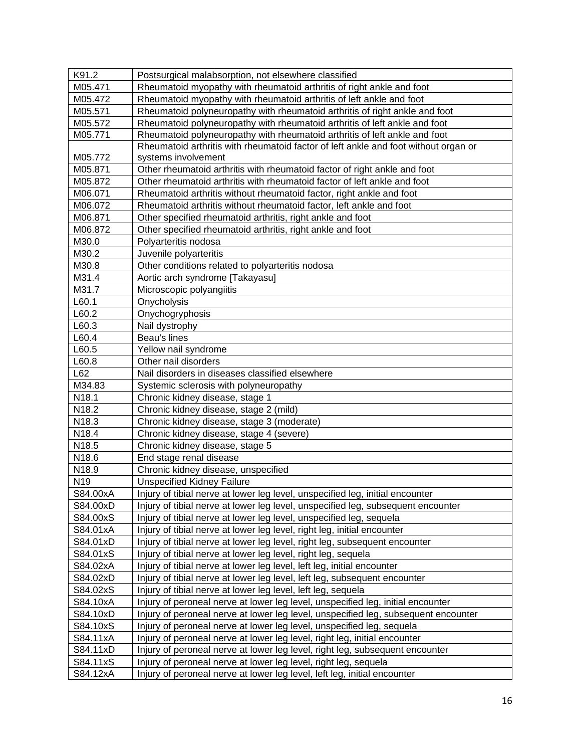| K91.2           | Postsurgical malabsorption, not elsewhere classified                                |
|-----------------|-------------------------------------------------------------------------------------|
| M05.471         | Rheumatoid myopathy with rheumatoid arthritis of right ankle and foot               |
| M05.472         | Rheumatoid myopathy with rheumatoid arthritis of left ankle and foot                |
| M05.571         | Rheumatoid polyneuropathy with rheumatoid arthritis of right ankle and foot         |
| M05.572         | Rheumatoid polyneuropathy with rheumatoid arthritis of left ankle and foot          |
| M05.771         | Rheumatoid polyneuropathy with rheumatoid arthritis of left ankle and foot          |
|                 | Rheumatoid arthritis with rheumatoid factor of left ankle and foot without organ or |
| M05.772         | systems involvement                                                                 |
| M05.871         | Other rheumatoid arthritis with rheumatoid factor of right ankle and foot           |
| M05.872         | Other rheumatoid arthritis with rheumatoid factor of left ankle and foot            |
| M06.071         | Rheumatoid arthritis without rheumatoid factor, right ankle and foot                |
| M06.072         | Rheumatoid arthritis without rheumatoid factor, left ankle and foot                 |
| M06.871         | Other specified rheumatoid arthritis, right ankle and foot                          |
| M06.872         | Other specified rheumatoid arthritis, right ankle and foot                          |
| M30.0           | Polyarteritis nodosa                                                                |
| M30.2           | Juvenile polyarteritis                                                              |
| M30.8           | Other conditions related to polyarteritis nodosa                                    |
| M31.4           | Aortic arch syndrome [Takayasu]                                                     |
| M31.7           | Microscopic polyangiitis                                                            |
| L60.1           | Onycholysis                                                                         |
| L60.2           | Onychogryphosis                                                                     |
| L60.3           | Nail dystrophy                                                                      |
| L60.4           | Beau's lines                                                                        |
| L60.5           | Yellow nail syndrome                                                                |
| L60.8           | Other nail disorders                                                                |
| L62             | Nail disorders in diseases classified elsewhere                                     |
| M34.83          | Systemic sclerosis with polyneuropathy                                              |
| N18.1           | Chronic kidney disease, stage 1                                                     |
| N18.2           | Chronic kidney disease, stage 2 (mild)                                              |
| N18.3           | Chronic kidney disease, stage 3 (moderate)                                          |
| N18.4           | Chronic kidney disease, stage 4 (severe)                                            |
| N18.5           | Chronic kidney disease, stage 5                                                     |
| N18.6           | End stage renal disease                                                             |
| N18.9           | Chronic kidney disease, unspecified                                                 |
| N <sub>19</sub> | <b>Unspecified Kidney Failure</b>                                                   |
| S84.00xA        | Injury of tibial nerve at lower leg level, unspecified leg, initial encounter       |
| S84.00xD        | Injury of tibial nerve at lower leg level, unspecified leg, subsequent encounter    |
| S84.00xS        | Injury of tibial nerve at lower leg level, unspecified leg, sequela                 |
| S84.01xA        | Injury of tibial nerve at lower leg level, right leg, initial encounter             |
| S84.01xD        | Injury of tibial nerve at lower leg level, right leg, subsequent encounter          |
| S84.01xS        | Injury of tibial nerve at lower leg level, right leg, sequela                       |
| S84.02xA        | Injury of tibial nerve at lower leg level, left leg, initial encounter              |
| S84.02xD        | Injury of tibial nerve at lower leg level, left leg, subsequent encounter           |
| S84.02xS        | Injury of tibial nerve at lower leg level, left leg, sequela                        |
| S84.10xA        | Injury of peroneal nerve at lower leg level, unspecified leg, initial encounter     |
| S84.10xD        | Injury of peroneal nerve at lower leg level, unspecified leg, subsequent encounter  |
| S84.10xS        | Injury of peroneal nerve at lower leg level, unspecified leg, sequela               |
| S84.11xA        | Injury of peroneal nerve at lower leg level, right leg, initial encounter           |
| S84.11xD        | Injury of peroneal nerve at lower leg level, right leg, subsequent encounter        |
| S84.11xS        | Injury of peroneal nerve at lower leg level, right leg, sequela                     |
| S84.12xA        | Injury of peroneal nerve at lower leg level, left leg, initial encounter            |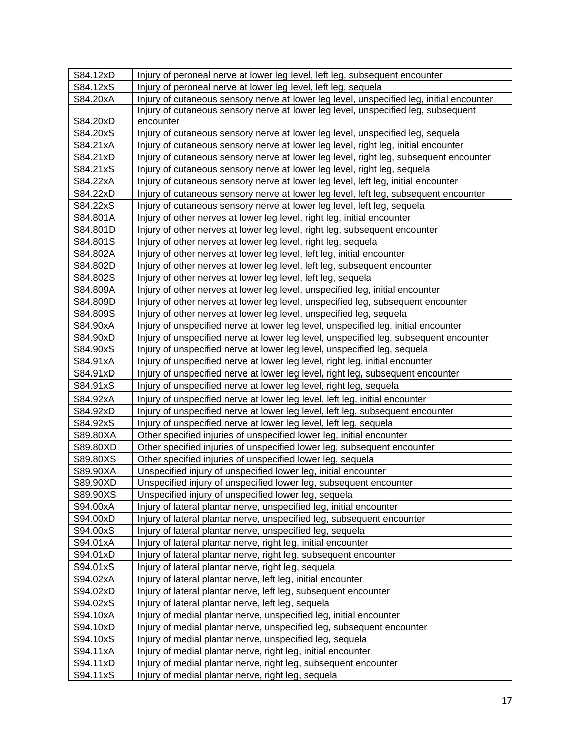| S84.12xD | Injury of peroneal nerve at lower leg level, left leg, subsequent encounter              |
|----------|------------------------------------------------------------------------------------------|
| S84.12xS | Injury of peroneal nerve at lower leg level, left leg, sequela                           |
| S84.20xA | Injury of cutaneous sensory nerve at lower leg level, unspecified leg, initial encounter |
|          | Injury of cutaneous sensory nerve at lower leg level, unspecified leg, subsequent        |
| S84.20xD | encounter                                                                                |
| S84.20xS | Injury of cutaneous sensory nerve at lower leg level, unspecified leg, sequela           |
| S84.21xA | Injury of cutaneous sensory nerve at lower leg level, right leg, initial encounter       |
| S84.21xD | Injury of cutaneous sensory nerve at lower leg level, right leg, subsequent encounter    |
| S84.21xS | Injury of cutaneous sensory nerve at lower leg level, right leg, sequela                 |
| S84.22xA | Injury of cutaneous sensory nerve at lower leg level, left leg, initial encounter        |
| S84.22xD | Injury of cutaneous sensory nerve at lower leg level, left leg, subsequent encounter     |
| S84.22xS | Injury of cutaneous sensory nerve at lower leg level, left leg, sequela                  |
| S84.801A | Injury of other nerves at lower leg level, right leg, initial encounter                  |
| S84.801D | Injury of other nerves at lower leg level, right leg, subsequent encounter               |
| S84.801S | Injury of other nerves at lower leg level, right leg, sequela                            |
| S84.802A | Injury of other nerves at lower leg level, left leg, initial encounter                   |
| S84.802D | Injury of other nerves at lower leg level, left leg, subsequent encounter                |
| S84.802S | Injury of other nerves at lower leg level, left leg, sequela                             |
| S84.809A | Injury of other nerves at lower leg level, unspecified leg, initial encounter            |
| S84.809D | Injury of other nerves at lower leg level, unspecified leg, subsequent encounter         |
| S84.809S | Injury of other nerves at lower leg level, unspecified leg, sequela                      |
| S84.90xA | Injury of unspecified nerve at lower leg level, unspecified leg, initial encounter       |
| S84.90xD | Injury of unspecified nerve at lower leg level, unspecified leg, subsequent encounter    |
| S84.90xS | Injury of unspecified nerve at lower leg level, unspecified leg, sequela                 |
| S84.91xA | Injury of unspecified nerve at lower leg level, right leg, initial encounter             |
| S84.91xD | Injury of unspecified nerve at lower leg level, right leg, subsequent encounter          |
| S84.91xS | Injury of unspecified nerve at lower leg level, right leg, sequela                       |
| S84.92xA | Injury of unspecified nerve at lower leg level, left leg, initial encounter              |
| S84.92xD | Injury of unspecified nerve at lower leg level, left leg, subsequent encounter           |
| S84.92xS | Injury of unspecified nerve at lower leg level, left leg, sequela                        |
| S89.80XA | Other specified injuries of unspecified lower leg, initial encounter                     |
| S89.80XD | Other specified injuries of unspecified lower leg, subsequent encounter                  |
| S89.80XS | Other specified injuries of unspecified lower leg, sequela                               |
| S89.90XA | Unspecified injury of unspecified lower leg, initial encounter                           |
| S89.90XD | Unspecified injury of unspecified lower leg, subsequent encounter                        |
| S89.90XS | Unspecified injury of unspecified lower leg, sequela                                     |
| S94.00xA | Injury of lateral plantar nerve, unspecified leg, initial encounter                      |
| S94.00xD | Injury of lateral plantar nerve, unspecified leg, subsequent encounter                   |
| S94.00xS | Injury of lateral plantar nerve, unspecified leg, sequela                                |
| S94.01xA | Injury of lateral plantar nerve, right leg, initial encounter                            |
| S94.01xD | Injury of lateral plantar nerve, right leg, subsequent encounter                         |
| S94.01xS | Injury of lateral plantar nerve, right leg, sequela                                      |
| S94.02xA | Injury of lateral plantar nerve, left leg, initial encounter                             |
| S94.02xD | Injury of lateral plantar nerve, left leg, subsequent encounter                          |
| S94.02xS | Injury of lateral plantar nerve, left leg, sequela                                       |
| S94.10xA | Injury of medial plantar nerve, unspecified leg, initial encounter                       |
| S94.10xD | Injury of medial plantar nerve, unspecified leg, subsequent encounter                    |
| S94.10xS | Injury of medial plantar nerve, unspecified leg, sequela                                 |
| S94.11xA | Injury of medial plantar nerve, right leg, initial encounter                             |
| S94.11xD | Injury of medial plantar nerve, right leg, subsequent encounter                          |
| S94.11xS | Injury of medial plantar nerve, right leg, sequela                                       |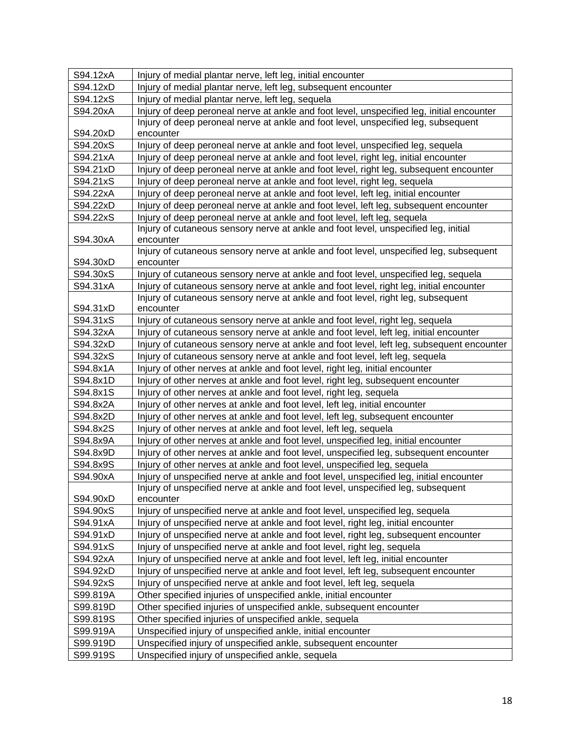<span id="page-17-0"></span>

| S94.12xA | Injury of medial plantar nerve, left leg, initial encounter                                   |
|----------|-----------------------------------------------------------------------------------------------|
| S94.12xD | Injury of medial plantar nerve, left leg, subsequent encounter                                |
| S94.12xS | Injury of medial plantar nerve, left leg, sequela                                             |
| S94.20xA | Injury of deep peroneal nerve at ankle and foot level, unspecified leg, initial encounter     |
|          | Injury of deep peroneal nerve at ankle and foot level, unspecified leg, subsequent            |
| S94.20xD | encounter                                                                                     |
| S94.20xS | Injury of deep peroneal nerve at ankle and foot level, unspecified leg, sequela               |
| S94.21xA | Injury of deep peroneal nerve at ankle and foot level, right leg, initial encounter           |
| S94.21xD | Injury of deep peroneal nerve at ankle and foot level, right leg, subsequent encounter        |
| S94.21xS | Injury of deep peroneal nerve at ankle and foot level, right leg, sequela                     |
| S94.22xA | Injury of deep peroneal nerve at ankle and foot level, left leg, initial encounter            |
| S94.22xD | Injury of deep peroneal nerve at ankle and foot level, left leg, subsequent encounter         |
| S94.22xS | Injury of deep peroneal nerve at ankle and foot level, left leg, sequela                      |
|          | Injury of cutaneous sensory nerve at ankle and foot level, unspecified leg, initial           |
| S94.30xA | encounter                                                                                     |
|          | Injury of cutaneous sensory nerve at ankle and foot level, unspecified leg, subsequent        |
| S94.30xD | encounter                                                                                     |
| S94.30xS | Injury of cutaneous sensory nerve at ankle and foot level, unspecified leg, sequela           |
| S94.31xA | Injury of cutaneous sensory nerve at ankle and foot level, right leg, initial encounter       |
| S94.31xD | Injury of cutaneous sensory nerve at ankle and foot level, right leg, subsequent<br>encounter |
| S94.31xS | Injury of cutaneous sensory nerve at ankle and foot level, right leg, sequela                 |
| S94.32xA | Injury of cutaneous sensory nerve at ankle and foot level, left leg, initial encounter        |
| S94.32xD | Injury of cutaneous sensory nerve at ankle and foot level, left leg, subsequent encounter     |
| S94.32xS | Injury of cutaneous sensory nerve at ankle and foot level, left leg, sequela                  |
| S94.8x1A | Injury of other nerves at ankle and foot level, right leg, initial encounter                  |
| S94.8x1D | Injury of other nerves at ankle and foot level, right leg, subsequent encounter               |
| S94.8x1S | Injury of other nerves at ankle and foot level, right leg, sequela                            |
| S94.8x2A | Injury of other nerves at ankle and foot level, left leg, initial encounter                   |
| S94.8x2D | Injury of other nerves at ankle and foot level, left leg, subsequent encounter                |
| S94.8x2S | Injury of other nerves at ankle and foot level, left leg, sequela                             |
| S94.8x9A | Injury of other nerves at ankle and foot level, unspecified leg, initial encounter            |
| S94.8x9D | Injury of other nerves at ankle and foot level, unspecified leg, subsequent encounter         |
| S94.8x9S | Injury of other nerves at ankle and foot level, unspecified leg, sequela                      |
| S94.90xA | Injury of unspecified nerve at ankle and foot level, unspecified leg, initial encounter       |
|          | Injury of unspecified nerve at ankle and foot level, unspecified leg, subsequent              |
| S94.90xD | encounter                                                                                     |
| S94.90xS | Injury of unspecified nerve at ankle and foot level, unspecified leg, sequela                 |
| S94.91xA | Injury of unspecified nerve at ankle and foot level, right leg, initial encounter             |
| S94.91xD | Injury of unspecified nerve at ankle and foot level, right leg, subsequent encounter          |
| S94.91xS | Injury of unspecified nerve at ankle and foot level, right leg, sequela                       |
| S94.92xA | Injury of unspecified nerve at ankle and foot level, left leg, initial encounter              |
| S94.92xD | Injury of unspecified nerve at ankle and foot level, left leg, subsequent encounter           |
| S94.92xS | Injury of unspecified nerve at ankle and foot level, left leg, sequela                        |
| S99.819A | Other specified injuries of unspecified ankle, initial encounter                              |
| S99.819D | Other specified injuries of unspecified ankle, subsequent encounter                           |
| S99.819S | Other specified injuries of unspecified ankle, sequela                                        |
| S99.919A | Unspecified injury of unspecified ankle, initial encounter                                    |
| S99.919D | Unspecified injury of unspecified ankle, subsequent encounter                                 |
| S99.919S | Unspecified injury of unspecified ankle, sequela                                              |